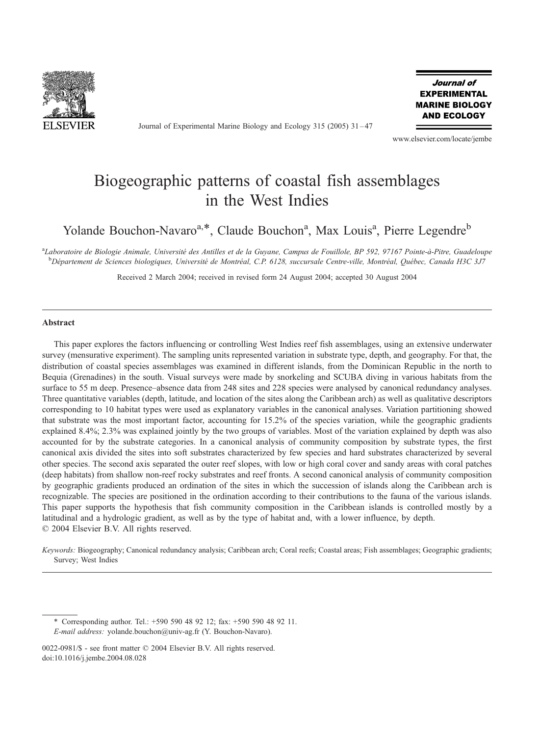

Journal of Experimental Marine Biology and Ecology 315 (2005) 31 – 47

Journal of **EXPERIMENTAL MARINE BIOLOGY AND ECOLOGY** 

www.elsevier.com/locate/jembe

# Biogeographic patterns of coastal fish assemblages in the West Indies

Yolande Bouchon-Navaro<sup>a,\*</sup>, Claude Bouchon<sup>a</sup>, Max Louis<sup>a</sup>, Pierre Legendre<sup>b</sup>

a<br>Laboratoire de Biologie Animale, Université des Antilles et de la Guyane, Campus de Fouillole, BP 592, 97167 Pointe-à-Pitre, Guadeloupe <sup>b</sup>Département de Sciences biologiques, Université de Montréal, C.P. 6128, succursale Centre-ville, Montréal, Québec, Canada H3C 3J7

Received 2 March 2004; received in revised form 24 August 2004; accepted 30 August 2004

#### Abstract

This paper explores the factors influencing or controlling West Indies reef fish assemblages, using an extensive underwater survey (mensurative experiment). The sampling units represented variation in substrate type, depth, and geography. For that, the distribution of coastal species assemblages was examined in different islands, from the Dominican Republic in the north to Bequia (Grenadines) in the south. Visual surveys were made by snorkeling and SCUBA diving in various habitats from the surface to 55 m deep. Presence–absence data from 248 sites and 228 species were analysed by canonical redundancy analyses. Three quantitative variables (depth, latitude, and location of the sites along the Caribbean arch) as well as qualitative descriptors corresponding to 10 habitat types were used as explanatory variables in the canonical analyses. Variation partitioning showed that substrate was the most important factor, accounting for 15.2% of the species variation, while the geographic gradients explained 8.4%; 2.3% was explained jointly by the two groups of variables. Most of the variation explained by depth was also accounted for by the substrate categories. In a canonical analysis of community composition by substrate types, the first canonical axis divided the sites into soft substrates characterized by few species and hard substrates characterized by several other species. The second axis separated the outer reef slopes, with low or high coral cover and sandy areas with coral patches (deep habitats) from shallow non-reef rocky substrates and reef fronts. A second canonical analysis of community composition by geographic gradients produced an ordination of the sites in which the succession of islands along the Caribbean arch is recognizable. The species are positioned in the ordination according to their contributions to the fauna of the various islands. This paper supports the hypothesis that fish community composition in the Caribbean islands is controlled mostly by a latitudinal and a hydrologic gradient, as well as by the type of habitat and, with a lower influence, by depth.  $© 2004 Elsevier B.V. All rights reserved.$ 

Keywords: Biogeography; Canonical redundancy analysis; Caribbean arch; Coral reefs; Coastal areas; Fish assemblages; Geographic gradients; Survey; West Indies

\* Corresponding author. Tel.: +590 590 48 92 12; fax: +590 590 48 92 11. E-mail address: yolande.bouchon@univ-ag.fr (Y. Bouchon-Navaro).

 $0022-0981/S$  - see front matter  $\odot$  2004 Elsevier B.V. All rights reserved. doi:10.1016/j.jembe.2004.08.028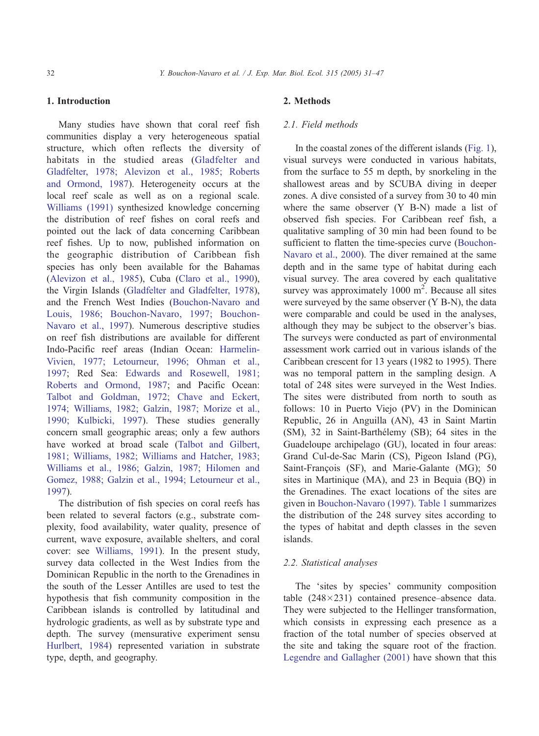# 1. Introduction

Many studies have shown that coral reef fish communities display a very heterogeneous spatial structure, which often reflects the diversity of habitats in the studied areas ([Gladfelter and](#page-15-0) Gladfelter, 1978; Alevizon et al., 1985; Roberts and Ormond, 1987). Heterogeneity occurs at the local reef scale as well as on a regional scale. [Williams \(1991\)](#page-16-0) synthesized knowledge concerning the distribution of reef fishes on coral reefs and pointed out the lack of data concerning Caribbean reef fishes. Up to now, published information on the geographic distribution of Caribbean fish species has only been available for the Bahamas ([Alevizon et al., 1985\)](#page-14-0), Cuba ([Claro et al., 1990\)](#page-15-0), the Virgin Islands ([Gladfelter and Gladfelter, 1978](#page-15-0)), and the French West Indies [\(Bouchon-Navaro and](#page-15-0) Louis, 1986; Bouchon-Navaro, 1997; Bouchon-Navaro et al., 1997). Numerous descriptive studies on reef fish distributions are available for different Indo-Pacific reef areas (Indian Ocean: [Harmelin-](#page-15-0)Vivien, 1977; Letourneur, 1996; Ohman et al., 1997; Red Sea: [Edwards and Rosewell, 1981;](#page-15-0) Roberts and Ormond, 1987; and Pacific Ocean: [Talbot and Goldman, 1972; Chave and Eckert,](#page-16-0) 1974; Williams, 1982; Galzin, 1987; Morize et al., 1990; Kulbicki, 1997). These studies generally concern small geographic areas; only a few authors have worked at broad scale [\(Talbot and Gilbert,](#page-16-0) 1981; Williams, 1982; Williams and Hatcher, 1983; Williams et al., 1986; Galzin, 1987; Hilomen and Gomez, 1988; Galzin et al., 1994; Letourneur et al., 1997).

The distribution of fish species on coral reefs has been related to several factors (e.g., substrate complexity, food availability, water quality, presence of current, wave exposure, available shelters, and coral cover: see [Williams, 1991\)](#page-16-0). In the present study, survey data collected in the West Indies from the Dominican Republic in the north to the Grenadines in the south of the Lesser Antilles are used to test the hypothesis that fish community composition in the Caribbean islands is controlled by latitudinal and hydrologic gradients, as well as by substrate type and depth. The survey (mensurative experiment sensu [Hurlbert, 1984\)](#page-15-0) represented variation in substrate type, depth, and geography.

# 2. Methods

## 2.1. Field methods

In the coastal zones of the different islands ([Fig. 1\)](#page-2-0), visual surveys were conducted in various habitats, from the surface to 55 m depth, by snorkeling in the shallowest areas and by SCUBA diving in deeper zones. A dive consisted of a survey from 30 to 40 min where the same observer (Y B-N) made a list of observed fish species. For Caribbean reef fish, a qualitative sampling of 30 min had been found to be sufficient to flatten the time-species curve [\(Bouchon-](#page-15-0)Navaro et al., 2000). The diver remained at the same depth and in the same type of habitat during each visual survey. The area covered by each qualitative survey was approximately  $1000 \text{ m}^2$ . Because all sites were surveyed by the same observer (Y B-N), the data were comparable and could be used in the analyses, although they may be subject to the observer's bias. The surveys were conducted as part of environmental assessment work carried out in various islands of the Caribbean crescent for 13 years (1982 to 1995). There was no temporal pattern in the sampling design. A total of 248 sites were surveyed in the West Indies. The sites were distributed from north to south as follows: 10 in Puerto Viejo (PV) in the Dominican Republic, 26 in Anguilla (AN), 43 in Saint Martin (SM), 32 in Saint-Barthélemy (SB); 64 sites in the Guadeloupe archipelago (GU), located in four areas: Grand Cul-de-Sac Marin (CS), Pigeon Island (PG), Saint-François (SF), and Marie-Galante (MG); 50 sites in Martinique (MA), and 23 in Bequia (BQ) in the Grenadines. The exact locations of the sites are given in [Bouchon-Navaro \(1997\).](#page-15-0) [Table 1](#page-3-0) summarizes the distribution of the 248 survey sites according to the types of habitat and depth classes in the seven islands.

## 2.2. Statistical analyses

The 'sites by species' community composition table  $(248\times231)$  contained presence–absence data. They were subjected to the Hellinger transformation, which consists in expressing each presence as a fraction of the total number of species observed at the site and taking the square root of the fraction. [Legendre and Gallagher \(2001\)](#page-15-0) have shown that this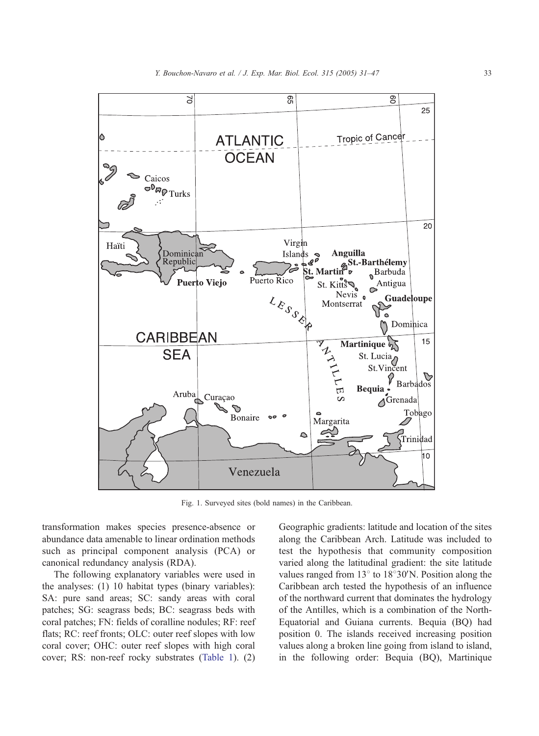<span id="page-2-0"></span>

Fig. 1. Surveyed sites (bold names) in the Caribbean.

transformation makes species presence-absence or abundance data amenable to linear ordination methods such as principal component analysis (PCA) or canonical redundancy analysis (RDA).

The following explanatory variables were used in the analyses: (1) 10 habitat types (binary variables): SA: pure sand areas; SC: sandy areas with coral patches; SG: seagrass beds; BC: seagrass beds with coral patches; FN: fields of coralline nodules; RF: reef flats; RC: reef fronts; OLC: outer reef slopes with low coral cover; OHC: outer reef slopes with high coral cover; RS: non-reef rocky substrates ([Table 1\)](#page-3-0). (2) Geographic gradients: latitude and location of the sites along the Caribbean Arch. Latitude was included to test the hypothesis that community composition varied along the latitudinal gradient: the site latitude values ranged from  $13^{\circ}$  to  $18^{\circ}30'$ N. Position along the Caribbean arch tested the hypothesis of an influence of the northward current that dominates the hydrology of the Antilles, which is a combination of the North-Equatorial and Guiana currents. Bequia (BQ) had position 0. The islands received increasing position values along a broken line going from island to island, in the following order: Bequia (BQ), Martinique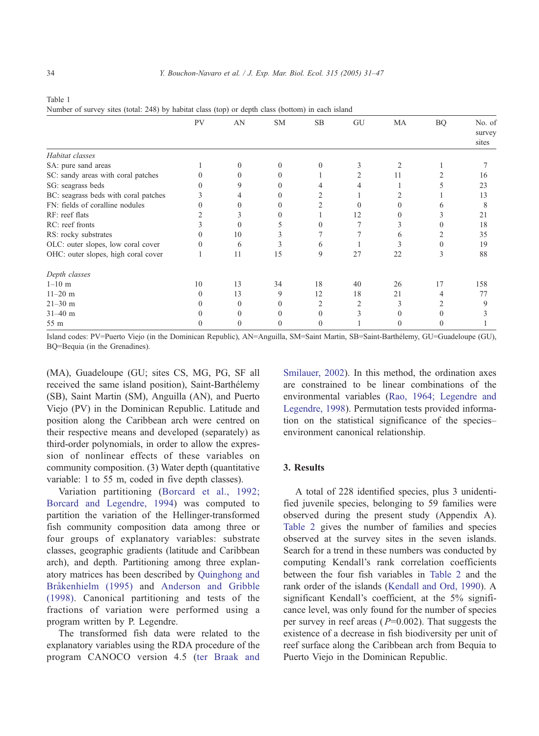<span id="page-3-0"></span>

| I<br>$\sim$<br>. . |  |
|--------------------|--|
|--------------------|--|

Number of survey sites (total: 248) by habitat class (top) or depth class (bottom) in each island

|                                      | PV | AN       | <b>SM</b> | <b>SB</b> | GU                | MA       | <b>BQ</b> | No. of<br>survey |
|--------------------------------------|----|----------|-----------|-----------|-------------------|----------|-----------|------------------|
|                                      |    |          |           |           |                   |          |           | sites            |
| Habitat classes                      |    |          |           |           |                   |          |           |                  |
| SA: pure sand areas                  |    |          |           |           | 3                 |          |           |                  |
| SC: sandy areas with coral patches   |    |          |           |           |                   | 11       |           | 16               |
| SG: seagrass beds                    |    |          |           |           |                   |          |           | 23               |
| BC: seagrass beds with coral patches |    |          |           |           |                   |          |           | 13               |
| FN: fields of coralline nodules      |    |          |           |           | $\mathbf{\Omega}$ |          |           | 8                |
| RF: reef flats                       |    |          |           |           | 12                |          |           | 21               |
| RC: reef fronts                      |    | $\theta$ |           |           |                   |          |           | 18               |
| RS: rocky substrates                 |    | 10       |           |           |                   | 6        |           | 35               |
| OLC: outer slopes, low coral cover   |    | 6        |           | 6         |                   |          |           | 19               |
| OHC: outer slopes, high coral cover  |    | 11       | 15        | 9         | 27                | 22       | 3         | 88               |
| Depth classes                        |    |          |           |           |                   |          |           |                  |
| $1 - 10$ m                           | 10 | 13       | 34        | 18        | 40                | 26       | 17        | 158              |
| $11 - 20$ m                          |    | 13       | 9         | 12        | 18                | 21       |           | 77               |
| $21 - 30$ m                          |    | 0        |           |           | 2                 |          |           | Q                |
| $31 - 40$ m                          |    |          |           |           | 3                 |          |           |                  |
| 55 m                                 |    |          |           | 0         |                   | $\theta$ |           |                  |

Island codes: PV=Puerto Viejo (in the Dominican Republic), AN=Anguilla, SM=Saint Martin, SB=Saint-Barthe´lemy, GU=Guadeloupe (GU), BQ=Bequia (in the Grenadines).

(MA), Guadeloupe (GU; sites CS, MG, PG, SF all received the same island position), Saint-Barthélemy (SB), Saint Martin (SM), Anguilla (AN), and Puerto Viejo (PV) in the Dominican Republic. Latitude and position along the Caribbean arch were centred on their respective means and developed (separately) as third-order polynomials, in order to allow the expression of nonlinear effects of these variables on community composition. (3) Water depth (quantitative variable: 1 to 55 m, coded in five depth classes).

Variation partitioning ([Borcard et al., 1992;](#page-15-0) Borcard and Legendre, 1994) was computed to partition the variation of the Hellinger-transformed fish community composition data among three or four groups of explanatory variables: substrate classes, geographic gradients (latitude and Caribbean arch), and depth. Partitioning among three explanatory matrices has been described by [Quinghong and](#page-15-0) Bråkenhielm (1995) and [Anderson and Gribble](#page-14-0) (1998). Canonical partitioning and tests of the fractions of variation were performed using a program written by P. Legendre.

The transformed fish data were related to the explanatory variables using the RDA procedure of the program CANOCO version 4.5 [\(ter Braak and](#page-16-0) Smilauer, 2002). In this method, the ordination axes are constrained to be linear combinations of the environmental variables ([Rao, 1964; Legendre and](#page-15-0) Legendre, 1998). Permutation tests provided information on the statistical significance of the species– environment canonical relationship.

## 3. Results

A total of 228 identified species, plus 3 unidentified juvenile species, belonging to 59 families were observed during the present study (Appendix A). [Table 2](#page-4-0) gives the number of families and species observed at the survey sites in the seven islands. Search for a trend in these numbers was conducted by computing Kendall's rank correlation coefficients between the four fish variables in [Table 2](#page-4-0) and the rank order of the islands ([Kendall and Ord, 1990\)](#page-15-0). A significant Kendall's coefficient, at the 5% significance level, was only found for the number of species per survey in reef areas ( $P=0.002$ ). That suggests the existence of a decrease in fish biodiversity per unit of reef surface along the Caribbean arch from Bequia to Puerto Viejo in the Dominican Republic.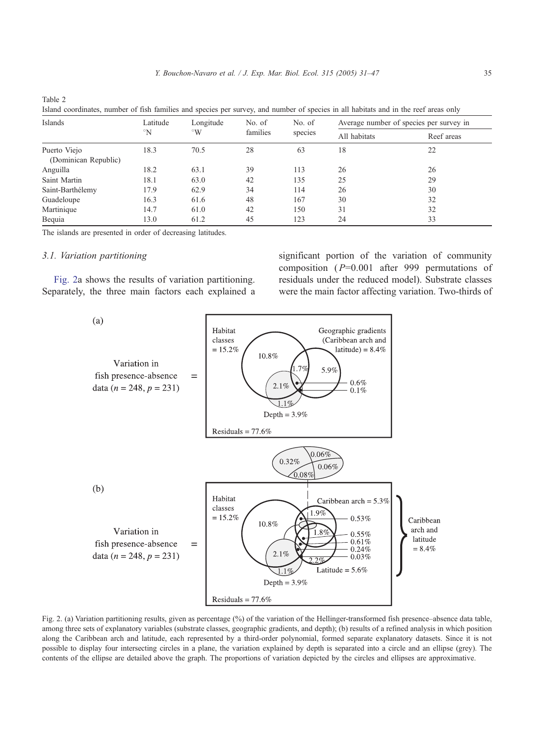| Table 2<br>Island coordinates, number of fish families and species per survey, and number of species in all habitats and in the reef areas only |               |                      |          |         |              |                                         |
|-------------------------------------------------------------------------------------------------------------------------------------------------|---------------|----------------------|----------|---------|--------------|-----------------------------------------|
| Islands                                                                                                                                         | Latitude      | Longitude            | No. of   | No. of  |              | Average number of species per survey in |
|                                                                                                                                                 | $\mathcal{N}$ | $^{\circ}\mathrm{W}$ | families | species | All habitats | Reef areas                              |
| Puerto Viejo<br>(Dominican Republic)                                                                                                            | 18.3          | 70.5                 | 28       |         |              | 22                                      |

|  |  |  |  | Island coordinates, number of fish families and species per survey, and number of species in all habitats and in the reef areas only |
|--|--|--|--|--------------------------------------------------------------------------------------------------------------------------------------|
|--|--|--|--|--------------------------------------------------------------------------------------------------------------------------------------|

Anguilla 18.2 63.1 39 113 26 26 Saint Martin 18.1 63.0 42 135 25 29 Saint-Barthélemy 17.9 62.9 34 114 26 30 Guadeloupe 16.3 61.6 48 167 30 32 Martinique 14.7 61.0 42 150 31 32 Bequia 13.0 61.2 45 123 24 33

The islands are presented in order of decreasing latitudes.

#### 3.1. Variation partitioning

<span id="page-4-0"></span>Table 2

Fig. 2a shows the results of variation partitioning. Separately, the three main factors each explained a significant portion of the variation of community composition ( $P=0.001$  after 999 permutations of residuals under the reduced model). Substrate classes were the main factor affecting variation. Two-thirds of



Fig. 2. (a) Variation partitioning results, given as percentage (%) of the variation of the Hellinger-transformed fish presence–absence data table, among three sets of explanatory variables (substrate classes, geographic gradients, and depth); (b) results of a refined analysis in which position along the Caribbean arch and latitude, each represented by a third-order polynomial, formed separate explanatory datasets. Since it is not possible to display four intersecting circles in a plane, the variation explained by depth is separated into a circle and an ellipse (grey). The contents of the ellipse are detailed above the graph. The proportions of variation depicted by the circles and ellipses are approximative.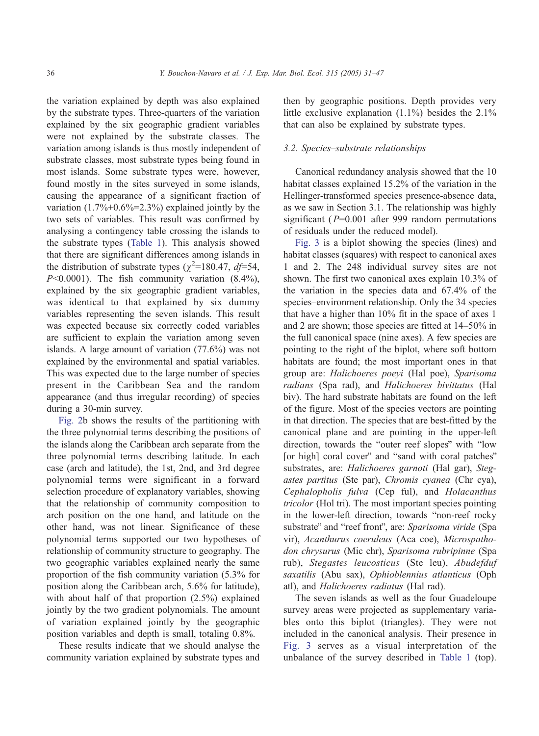the variation explained by depth was also explained by the substrate types. Three-quarters of the variation explained by the six geographic gradient variables were not explained by the substrate classes. The variation among islands is thus mostly independent of substrate classes, most substrate types being found in most islands. Some substrate types were, however, found mostly in the sites surveyed in some islands, causing the appearance of a significant fraction of variation  $(1.7\% + 0.6\% = 2.3\%)$  explained jointly by the two sets of variables. This result was confirmed by analysing a contingency table crossing the islands to the substrate types ([Table 1\)](#page-3-0). This analysis showed that there are significant differences among islands in the distribution of substrate types ( $\chi^2$ =180.47, *df*=54,  $P<0.0001$ ). The fish community variation  $(8.4\%)$ , explained by the six geographic gradient variables, was identical to that explained by six dummy variables representing the seven islands. This result was expected because six correctly coded variables are sufficient to explain the variation among seven islands. A large amount of variation (77.6%) was not explained by the environmental and spatial variables. This was expected due to the large number of species present in the Caribbean Sea and the random appearance (and thus irregular recording) of species during a 30-min survey.

[Fig. 2b](#page-4-0) shows the results of the partitioning with the three polynomial terms describing the positions of the islands along the Caribbean arch separate from the three polynomial terms describing latitude. In each case (arch and latitude), the 1st, 2nd, and 3rd degree polynomial terms were significant in a forward selection procedure of explanatory variables, showing that the relationship of community composition to arch position on the one hand, and latitude on the other hand, was not linear. Significance of these polynomial terms supported our two hypotheses of relationship of community structure to geography. The two geographic variables explained nearly the same proportion of the fish community variation (5.3% for position along the Caribbean arch, 5.6% for latitude), with about half of that proportion (2.5%) explained jointly by the two gradient polynomials. The amount of variation explained jointly by the geographic position variables and depth is small, totaling 0.8%.

These results indicate that we should analyse the community variation explained by substrate types and then by geographic positions. Depth provides very little exclusive explanation (1.1%) besides the 2.1% that can also be explained by substrate types.

#### 3.2. Species–substrate relationships

Canonical redundancy analysis showed that the 10 habitat classes explained 15.2% of the variation in the Hellinger-transformed species presence-absence data, as we saw in Section 3.1. The relationship was highly significant ( $P=0.001$  after 999 random permutations of residuals under the reduced model).

[Fig. 3](#page-6-0) is a biplot showing the species (lines) and habitat classes (squares) with respect to canonical axes 1 and 2. The 248 individual survey sites are not shown. The first two canonical axes explain 10.3% of the variation in the species data and 67.4% of the species–environment relationship. Only the 34 species that have a higher than 10% fit in the space of axes 1 and 2 are shown; those species are fitted at 14–50% in the full canonical space (nine axes). A few species are pointing to the right of the biplot, where soft bottom habitats are found; the most important ones in that group are: Halichoeres poeyi (Hal poe), Sparisoma radians (Spa rad), and Halichoeres bivittatus (Hal biv). The hard substrate habitats are found on the left of the figure. Most of the species vectors are pointing in that direction. The species that are best-fitted by the canonical plane and are pointing in the upper-left direction, towards the "outer reef slopes" with "low [or high] coral cover" and "sand with coral patches" substrates, are: Halichoeres garnoti (Hal gar), Stegastes partitus (Ste par), Chromis cyanea (Chr cya), Cephalopholis fulva (Cep ful), and Holacanthus tricolor (Hol tri). The most important species pointing in the lower-left direction, towards "non-reef rocky substrate" and "reef front", are: Sparisoma viride (Spa vir), Acanthurus coeruleus (Aca coe), Microspathodon chrysurus (Mic chr), Sparisoma rubripinne (Spa rub), Stegastes leucosticus (Ste leu), Abudefduf saxatilis (Abu sax), Ophioblennius atlanticus (Oph atl), and Halichoeres radiatus (Hal rad).

The seven islands as well as the four Guadeloupe survey areas were projected as supplementary variables onto this biplot (triangles). They were not included in the canonical analysis. Their presence in [Fig. 3](#page-6-0) serves as a visual interpretation of the unbalance of the survey described in [Table 1](#page-3-0) (top).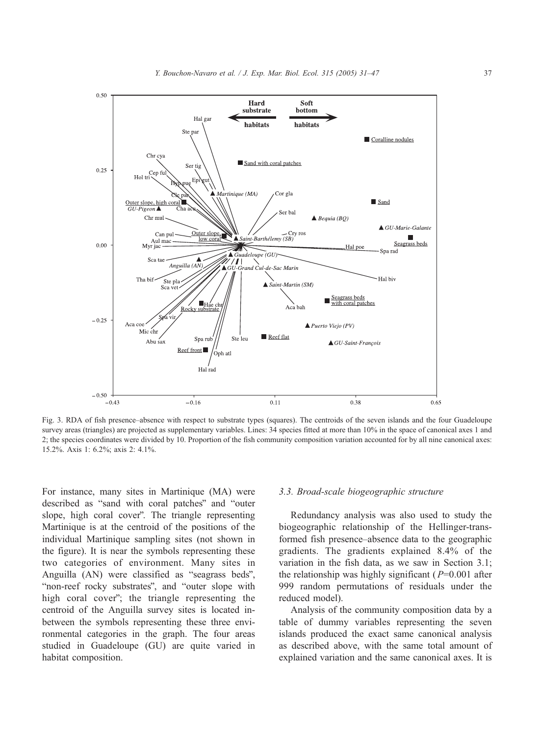<span id="page-6-0"></span>

Fig. 3. RDA of fish presence–absence with respect to substrate types (squares). The centroids of the seven islands and the four Guadeloupe survey areas (triangles) are projected as supplementary variables. Lines: 34 species fitted at more than 10% in the space of canonical axes 1 and 2; the species coordinates were divided by 10. Proportion of the fish community composition variation accounted for by all nine canonical axes: 15.2%. Axis 1: 6.2%; axis 2: 4.1%.

For instance, many sites in Martinique (MA) were described as "sand with coral patches" and "outer slope, high coral cover". The triangle representing Martinique is at the centroid of the positions of the individual Martinique sampling sites (not shown in the figure). It is near the symbols representing these two categories of environment. Many sites in Anguilla (AN) were classified as "seagrass beds", "non-reef rocky substrates", and "outer slope with high coral cover"; the triangle representing the centroid of the Anguilla survey sites is located inbetween the symbols representing these three environmental categories in the graph. The four areas studied in Guadeloupe (GU) are quite varied in habitat composition.

## 3.3. Broad-scale biogeographic structure

Redundancy analysis was also used to study the biogeographic relationship of the Hellinger-transformed fish presence–absence data to the geographic gradients. The gradients explained 8.4% of the variation in the fish data, as we saw in Section 3.1; the relationship was highly significant ( $P=0.001$  after 999 random permutations of residuals under the reduced model).

Analysis of the community composition data by a table of dummy variables representing the seven islands produced the exact same canonical analysis as described above, with the same total amount of explained variation and the same canonical axes. It is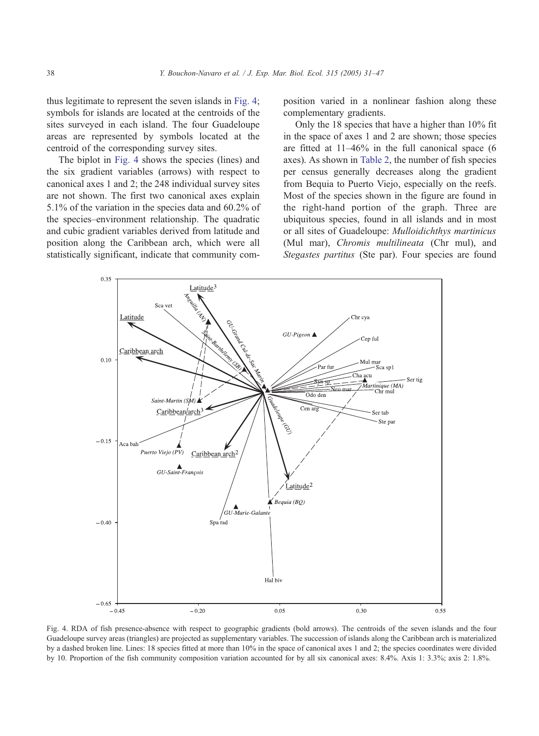thus legitimate to represent the seven islands in Fig. 4; symbols for islands are located at the centroids of the sites surveyed in each island. The four Guadeloupe areas are represented by symbols located at the centroid of the corresponding survey sites.

The biplot in Fig. 4 shows the species (lines) and the six gradient variables (arrows) with respect to canonical axes 1 and 2; the 248 individual survey sites are not shown. The first two canonical axes explain 5.1% of the variation in the species data and 60.2% of the species–environment relationship. The quadratic and cubic gradient variables derived from latitude and position along the Caribbean arch, which were all statistically significant, indicate that community composition varied in a nonlinear fashion along these complementary gradients.

Only the 18 species that have a higher than 10% fit in the space of axes 1 and 2 are shown; those species are fitted at 11–46% in the full canonical space (6 axes). As shown in [Table 2,](#page-4-0) the number of fish species per census generally decreases along the gradient from Bequia to Puerto Viejo, especially on the reefs. Most of the species shown in the figure are found in the right-hand portion of the graph. Three are ubiquitous species, found in all islands and in most or all sites of Guadeloupe: Mulloidichthys martinicus (Mul mar), *Chromis multilineata* (Chr mul), and Stegastes partitus (Ste par). Four species are found



Fig. 4. RDA of fish presence-absence with respect to geographic gradients (bold arrows). The centroids of the seven islands and the four Guadeloupe survey areas (triangles) are projected as supplementary variables. The succession of islands along the Caribbean arch is materialized by a dashed broken line. Lines: 18 species fitted at more than 10% in the space of canonical axes 1 and 2; the species coordinates were divided by 10. Proportion of the fish community composition variation accounted for by all six canonical axes: 8.4%. Axis 1: 3.3%; axis 2: 1.8%.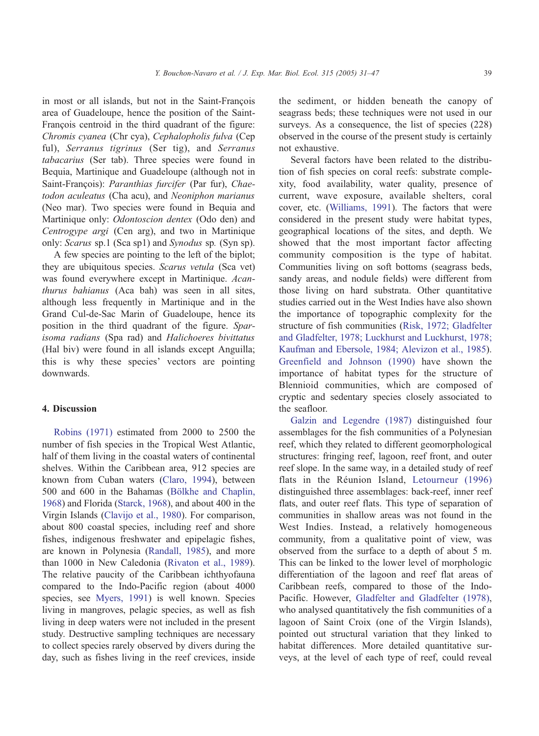in most or all islands, but not in the Saint-François area of Guadeloupe, hence the position of the Saint-François centroid in the third quadrant of the figure: Chromis cyanea (Chr cya), Cephalopholis fulva (Cep ful), Serranus tigrinus (Ser tig), and Serranus tabacarius (Ser tab). Three species were found in Bequia, Martinique and Guadeloupe (although not in Saint-François): Paranthias furcifer (Par fur), Chaetodon aculeatus (Cha acu), and Neoniphon marianus (Neo mar). Two species were found in Bequia and Martinique only: Odontoscion dentex (Odo den) and Centrogype argi (Cen arg), and two in Martinique only: Scarus sp.1 (Sca sp1) and Synodus sp. (Syn sp).

A few species are pointing to the left of the biplot; they are ubiquitous species. Scarus vetula (Sca vet) was found everywhere except in Martinique. Acanthurus bahianus (Aca bah) was seen in all sites, although less frequently in Martinique and in the Grand Cul-de-Sac Marin of Guadeloupe, hence its position in the third quadrant of the figure. Sparisoma radians (Spa rad) and Halichoeres bivittatus (Hal biv) were found in all islands except Anguilla; this is why these species' vectors are pointing downwards.

## 4. Discussion

[Robins \(1971\)](#page-16-0) estimated from 2000 to 2500 the number of fish species in the Tropical West Atlantic, half of them living in the coastal waters of continental shelves. Within the Caribbean area, 912 species are known from Cuban waters [\(Claro, 1994\)](#page-15-0), between 500 and 600 in the Bahamas (Bölkhe and Chaplin, 1968) and Florida ([Starck, 1968\)](#page-16-0), and about 400 in the Virgin Islands [\(Clavijo et al., 1980\)](#page-15-0). For comparison, about 800 coastal species, including reef and shore fishes, indigenous freshwater and epipelagic fishes, are known in Polynesia [\(Randall, 1985\)](#page-15-0), and more than 1000 in New Caledonia [\(Rivaton et al., 1989](#page-16-0)). The relative paucity of the Caribbean ichthyofauna compared to the Indo-Pacific region (about 4000 species, see [Myers, 1991\)](#page-15-0) is well known. Species living in mangroves, pelagic species, as well as fish living in deep waters were not included in the present study. Destructive sampling techniques are necessary to collect species rarely observed by divers during the day, such as fishes living in the reef crevices, inside the sediment, or hidden beneath the canopy of seagrass beds; these techniques were not used in our surveys. As a consequence, the list of species (228) observed in the course of the present study is certainly not exhaustive.

Several factors have been related to the distribution of fish species on coral reefs: substrate complexity, food availability, water quality, presence of current, wave exposure, available shelters, coral cover, etc. ([Williams, 1991\)](#page-16-0). The factors that were considered in the present study were habitat types, geographical locations of the sites, and depth. We showed that the most important factor affecting community composition is the type of habitat. Communities living on soft bottoms (seagrass beds, sandy areas, and nodule fields) were different from those living on hard substrata. Other quantitative studies carried out in the West Indies have also shown the importance of topographic complexity for the structure of fish communities [\(Risk, 1972; Gladfelter](#page-15-0) and Gladfelter, 1978; Luckhurst and Luckhurst, 1978; Kaufman and Ebersole, 1984; Alevizon et al., 1985). Greenfield and Johnson (1990) have shown the importance of habitat types for the structure of Blennioid communities, which are composed of cryptic and sedentary species closely associated to the seafloor.

[Galzin and Legendre \(1987\)](#page-15-0) distinguished four assemblages for the fish communities of a Polynesian reef, which they related to different geomorphological structures: fringing reef, lagoon, reef front, and outer reef slope. In the same way, in a detailed study of reef flats in the Réunion Island, [Letourneur \(1996\)](#page-15-0) distinguished three assemblages: back-reef, inner reef flats, and outer reef flats. This type of separation of communities in shallow areas was not found in the West Indies. Instead, a relatively homogeneous community, from a qualitative point of view, was observed from the surface to a depth of about 5 m. This can be linked to the lower level of morphologic differentiation of the lagoon and reef flat areas of Caribbean reefs, compared to those of the Indo-Pacific. However, [Gladfelter and Gladfelter \(1978\)](#page-15-0), who analysed quantitatively the fish communities of a lagoon of Saint Croix (one of the Virgin Islands), pointed out structural variation that they linked to habitat differences. More detailed quantitative surveys, at the level of each type of reef, could reveal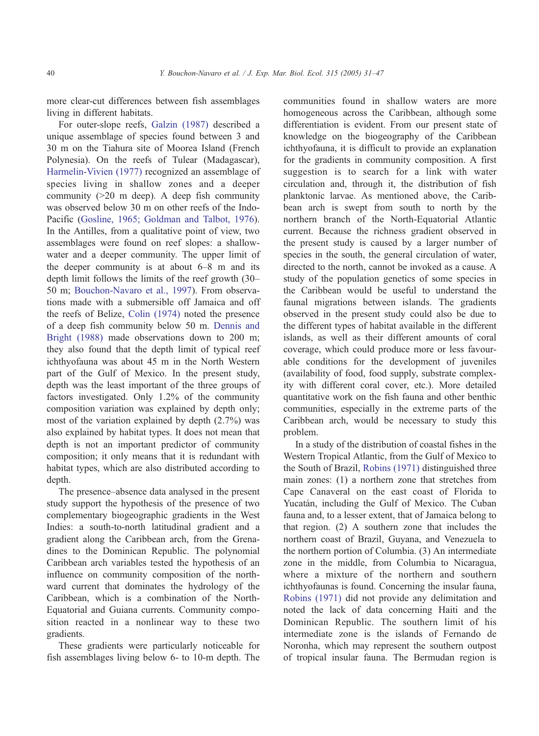more clear-cut differences between fish assemblages living in different habitats.

For outer-slope reefs, [Galzin \(1987\)](#page-15-0) described a unique assemblage of species found between 3 and 30 m on the Tiahura site of Moorea Island (French Polynesia). On the reefs of Tulear (Madagascar), [Harmelin-Vivien \(1977\)](#page-15-0) recognized an assemblage of species living in shallow zones and a deeper community  $(>20 \text{ m deep})$ . A deep fish community was observed below 30 m on other reefs of the Indo-Pacific ([Gosline, 1965; Goldman and Talbot, 1976\)](#page-15-0). In the Antilles, from a qualitative point of view, two assemblages were found on reef slopes: a shallowwater and a deeper community. The upper limit of the deeper community is at about 6–8 m and its depth limit follows the limits of the reef growth (30– 50 m; [Bouchon-Navaro et al., 1997\)](#page-15-0). From observations made with a submersible off Jamaica and off the reefs of Belize, [Colin \(1974\)](#page-15-0) noted the presence of a deep fish community below 50 m. [Dennis and](#page-15-0) Bright (1988) made observations down to 200 m; they also found that the depth limit of typical reef ichthyofauna was about 45 m in the North Western part of the Gulf of Mexico. In the present study, depth was the least important of the three groups of factors investigated. Only 1.2% of the community composition variation was explained by depth only; most of the variation explained by depth (2.7%) was also explained by habitat types. It does not mean that depth is not an important predictor of community composition; it only means that it is redundant with habitat types, which are also distributed according to depth.

The presence–absence data analysed in the present study support the hypothesis of the presence of two complementary biogeographic gradients in the West Indies: a south-to-north latitudinal gradient and a gradient along the Caribbean arch, from the Grenadines to the Dominican Republic. The polynomial Caribbean arch variables tested the hypothesis of an influence on community composition of the northward current that dominates the hydrology of the Caribbean, which is a combination of the North-Equatorial and Guiana currents. Community composition reacted in a nonlinear way to these two gradients.

These gradients were particularly noticeable for fish assemblages living below 6- to 10-m depth. The

communities found in shallow waters are more homogeneous across the Caribbean, although some differentiation is evident. From our present state of knowledge on the biogeography of the Caribbean ichthyofauna, it is difficult to provide an explanation for the gradients in community composition. A first suggestion is to search for a link with water circulation and, through it, the distribution of fish planktonic larvae. As mentioned above, the Caribbean arch is swept from south to north by the northern branch of the North-Equatorial Atlantic current. Because the richness gradient observed in the present study is caused by a larger number of species in the south, the general circulation of water, directed to the north, cannot be invoked as a cause. A study of the population genetics of some species in the Caribbean would be useful to understand the faunal migrations between islands. The gradients observed in the present study could also be due to the different types of habitat available in the different islands, as well as their different amounts of coral coverage, which could produce more or less favourable conditions for the development of juveniles (availability of food, food supply, substrate complexity with different coral cover, etc.). More detailed quantitative work on the fish fauna and other benthic communities, especially in the extreme parts of the Caribbean arch, would be necessary to study this problem.

In a study of the distribution of coastal fishes in the Western Tropical Atlantic, from the Gulf of Mexico to the South of Brazil, [Robins \(1971\)](#page-16-0) distinguished three main zones: (1) a northern zone that stretches from Cape Canaveral on the east coast of Florida to Yucatán, including the Gulf of Mexico. The Cuban fauna and, to a lesser extent, that of Jamaica belong to that region. (2) A southern zone that includes the northern coast of Brazil, Guyana, and Venezuela to the northern portion of Columbia. (3) An intermediate zone in the middle, from Columbia to Nicaragua, where a mixture of the northern and southern ichthyofaunas is found. Concerning the insular fauna, [Robins \(1971\)](#page-16-0) did not provide any delimitation and noted the lack of data concerning Haiti and the Dominican Republic. The southern limit of his intermediate zone is the islands of Fernando de Noronha, which may represent the southern outpost of tropical insular fauna. The Bermudan region is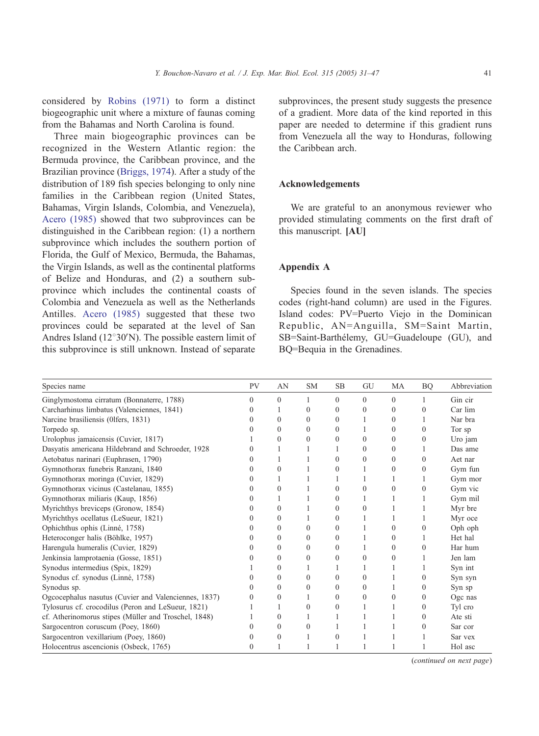considered by [Robins \(1971\)](#page-16-0) to form a distinct biogeographic unit where a mixture of faunas coming from the Bahamas and North Carolina is found.

Three main biogeographic provinces can be recognized in the Western Atlantic region: the Bermuda province, the Caribbean province, and the Brazilian province [\(Briggs, 1974\)](#page-15-0). After a study of the distribution of 189 fish species belonging to only nine families in the Caribbean region (United States, Bahamas, Virgin Islands, Colombia, and Venezuela), [Acero \(1985\)](#page-14-0) showed that two subprovinces can be distinguished in the Caribbean region: (1) a northern subprovince which includes the southern portion of Florida, the Gulf of Mexico, Bermuda, the Bahamas, the Virgin Islands, as well as the continental platforms of Belize and Honduras, and (2) a southern subprovince which includes the continental coasts of Colombia and Venezuela as well as the Netherlands Antilles. [Acero \(1985\)](#page-14-0) suggested that these two provinces could be separated at the level of San Andres Island ( $12^{\circ}30'N$ ). The possible eastern limit of this subprovince is still unknown. Instead of separate

subprovinces, the present study suggests the presence of a gradient. More data of the kind reported in this paper are needed to determine if this gradient runs from Venezuela all the way to Honduras, following the Caribbean arch.

# Acknowledgements

We are grateful to an anonymous reviewer who provided stimulating comments on the first draft of this manuscript. [AU]

# Appendix A

Species found in the seven islands. The species codes (right-hand column) are used in the Figures. Island codes: PV=Puerto Viejo in the Dominican Republic, AN=Anguilla, SM=Saint Martin, SB=Saint-Barthélemy, GU=Guadeloupe (GU), and BQ=Bequia in the Grenadines.

| Species name                                         | PV       | AN       | <b>SM</b> | <b>SB</b> | GU       | MA           | <b>BQ</b> | Abbreviation |
|------------------------------------------------------|----------|----------|-----------|-----------|----------|--------------|-----------|--------------|
| Ginglymostoma cirratum (Bonnaterre, 1788)            | $\Omega$ | $\Omega$ |           | $\Omega$  | 0        | $\Omega$     |           | Gin cir      |
| Carcharhinus limbatus (Valenciennes, 1841)           |          |          | $\Omega$  | 0         | 0        | $\mathbf{0}$ | $\Omega$  | Car lim      |
| Narcine brasiliensis (01fers, 1831)                  |          | 0        | $\Omega$  | $\Omega$  |          | $\Omega$     |           | Nar bra      |
| Torpedo sp.                                          |          | 0        | $\Omega$  | $\Omega$  |          | $\Omega$     | 0         | Tor sp       |
| Urolophus jamaicensis (Cuvier, 1817)                 |          | $\theta$ | $\Omega$  | 0         | 0        | $\Omega$     | $\Omega$  | Uro jam      |
| Dasyatis americana Hildebrand and Schroeder, 1928    |          |          |           |           | 0        | $\theta$     |           | Das ame      |
| Aetobatus narinari (Euphrasen, 1790)                 |          |          |           | 0         | 0        | $\theta$     | 0         | Aet nar      |
| Gymnothorax funebris Ranzani, 1840                   |          | $\theta$ |           | 0         |          | $\Omega$     | $\Omega$  | Gym fun      |
| Gymnothorax moringa (Cuvier, 1829)                   |          |          |           |           |          |              |           | Gym mor      |
| Gymnothorax vicinus (Castelanau, 1855)               |          | 0        |           | 0         | 0        | 0            | 0         | Gym vic      |
| Gymnothorax miliaris (Kaup, 1856)                    |          |          |           | 0         |          |              |           | Gym mil      |
| Myrichthys breviceps (Gronow, 1854)                  |          | $\theta$ |           | $\theta$  | 0        |              |           | Myr bre      |
| Myrichthys ocellatus (LeSueur, 1821)                 |          | 0        |           | 0         |          |              |           | Myr oce      |
| Ophichthus ophis (Linné, 1758)                       |          | $\Omega$ | $\Omega$  | $\theta$  |          | 0            | $\theta$  | Oph oph      |
| Heteroconger halis (Böhlke, 1957)                    |          | 0        | $\Omega$  | $\theta$  |          | $\theta$     |           | Het hal      |
| Harengula humeralis (Cuvier, 1829)                   |          | 0        | $\Omega$  | 0         |          | 0            | 0         | Har hum      |
| Jenkinsia lamprotaenia (Gosse, 1851)                 |          | $\theta$ | $\Omega$  | $\theta$  | 0        | 0            |           | Jen lam      |
| Synodus intermedius (Spix, 1829)                     |          | 0        |           |           |          |              |           | Syn int      |
| Synodus cf. synodus (Linné, 1758)                    |          | 0        | $\Omega$  | 0         | 0        |              | 0         | Syn syn      |
| Synodus sp.                                          |          | 0        | $\Omega$  | $\theta$  | $\Omega$ |              | $\theta$  | Syn sp       |
| Ogcocephalus nasutus (Cuvier and Valenciennes, 1837) |          | 0        |           | 0         | 0        |              | $\Omega$  | Ogc nas      |
| Tylosurus cf. crocodilus (Peron and LeSueur, 1821)   |          |          | $\Omega$  | 0         |          |              | $\theta$  | Tyl cro      |
| cf. Atherinomorus stipes (Müller and Troschel, 1848) |          | 0        |           |           |          |              | $\theta$  | Ate sti      |
| Sargocentron coruscum (Poey, 1860)                   |          | 0        | $\theta$  |           |          |              |           | Sar cor      |
| Sargocentron vexillarium (Poey, 1860)                |          | 0        |           | 0         |          |              |           | Sar vex      |
| Holocentrus ascencionis (Osbeck, 1765)               |          |          |           |           |          |              |           | Hol asc      |

(continued on next page)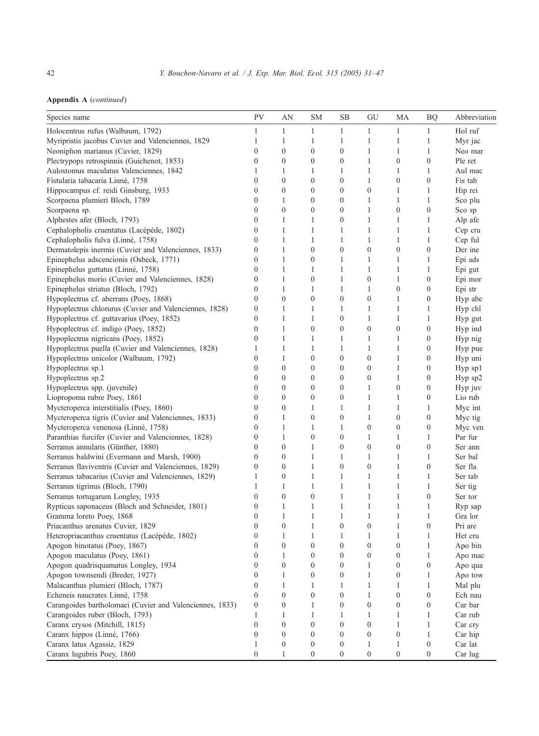|  |  |  | <b>Appendix A</b> (continued) |
|--|--|--|-------------------------------|
|--|--|--|-------------------------------|

| Species name                                             | PV               | AN               | <b>SM</b>        | SВ               | GU               | МA               | <b>BQ</b>        | Abbreviation |
|----------------------------------------------------------|------------------|------------------|------------------|------------------|------------------|------------------|------------------|--------------|
| Holocentrus rufus (Walbaum, 1792)                        | $\mathbf{1}$     | 1                | 1                | $\mathbf{1}$     | $\mathbf{1}$     | 1                | $\mathbf{1}$     | Hol ruf      |
| Myripristis jacobus Cuvier and Valenciennes, 1829        | 1                | 1                | $\mathbf{1}$     | $\mathbf{1}$     | 1                | $\mathbf{1}$     | $\mathbf{1}$     | Myr jac      |
| Neoniphon marianus (Cuvier, 1829)                        | $\boldsymbol{0}$ | $\mathbf{0}$     | $\boldsymbol{0}$ | $\boldsymbol{0}$ | $\mathbf{1}$     | $\mathbf{1}$     | $\mathbf{1}$     | Neo mar      |
| Plectrypops retrospinnis (Guichenot, 1853)               | $\boldsymbol{0}$ | $\mathbf{0}$     | $\boldsymbol{0}$ | $\boldsymbol{0}$ | $\mathbf{1}$     | $\boldsymbol{0}$ | $\mathbf{0}$     | Ple ret      |
| Aulostomus maculatus Valenciennes, 1842                  | 1                | 1                | 1                | 1                | 1                | $\mathbf{1}$     | 1                | Aul mac      |
| Fistularia tabacaria Linné, 1758                         | $\boldsymbol{0}$ | $\mathbf{0}$     | $\boldsymbol{0}$ | $\boldsymbol{0}$ | $\mathbf{1}$     | $\boldsymbol{0}$ | $\boldsymbol{0}$ | Fis tab      |
| Hippocampus cf. reidi Ginsburg, 1933                     | $\boldsymbol{0}$ | $\mathbf{0}$     | $\boldsymbol{0}$ | $\boldsymbol{0}$ | $\boldsymbol{0}$ | 1                | $\mathbf{1}$     | Hip rei      |
| Scorpaena plumieri Bloch, 1789                           | $\boldsymbol{0}$ | 1                | $\boldsymbol{0}$ | $\boldsymbol{0}$ | $\mathbf{1}$     | $\mathbf{1}$     | $\mathbf{1}$     | Sco plu      |
| Scorpaena sp.                                            | $\boldsymbol{0}$ | $\mathbf{0}$     | $\boldsymbol{0}$ | $\boldsymbol{0}$ | $\mathbf{1}$     | $\boldsymbol{0}$ | $\boldsymbol{0}$ | Sco sp       |
| Alphestes afer (Bloch, 1793)                             | $\boldsymbol{0}$ | 1                | 1                | $\boldsymbol{0}$ | $\mathbf{1}$     | $\mathbf{1}$     | $\mathbf{1}$     | Alp afe      |
| Cephalopholis cruentatus (Lacépéde, 1802)                | $\boldsymbol{0}$ | 1                | 1                | $\mathbf{1}$     | 1                | $\mathbf{1}$     | $\mathbf{1}$     | Cep cru      |
| Cephalopholis fulva (Linné, 1758)                        | $\mathbf{0}$     | $\mathbf{1}$     | 1                | $\mathbf{1}$     | $\mathbf{1}$     | $\mathbf{1}$     | $\mathbf{1}$     | Cep ful      |
| Dermatolepis inermis (Cuvier and Valenciennes, 1833)     | $\boldsymbol{0}$ | 1                | $\boldsymbol{0}$ | $\boldsymbol{0}$ | $\mathbf{0}$     | $\boldsymbol{0}$ | $\mathbf{0}$     | Der ine      |
| Epinephelus adscencionis (Osbeck, 1771)                  | $\boldsymbol{0}$ | 1                | $\boldsymbol{0}$ | 1                | $\mathbf{1}$     | 1                | 1                | Epi ads      |
| Epinephelus guttatus (Linné, 1758)                       | $\boldsymbol{0}$ | $\mathbf{1}$     | 1                | $\mathbf{1}$     | $\mathbf{1}$     | $\mathbf{1}$     | $\mathbf{1}$     | Epi gut      |
| Epinephelus morio (Cuvier and Valenciennes, 1828)        | $\boldsymbol{0}$ | 1                | $\boldsymbol{0}$ | 1                | $\mathbf{0}$     | $\mathbf{1}$     | $\boldsymbol{0}$ | Epi mor      |
| Epinephelus striatus (Bloch, 1792)                       | $\boldsymbol{0}$ | 1                | 1                | $\mathbf{1}$     | $\mathbf{1}$     | $\boldsymbol{0}$ | $\boldsymbol{0}$ | Epi str      |
| Hypoplectrus cf. aberrans (Poey, 1868)                   | $\mathbf{0}$     | $\boldsymbol{0}$ | $\boldsymbol{0}$ | $\boldsymbol{0}$ | $\boldsymbol{0}$ | $\mathbf{1}$     | $\boldsymbol{0}$ | Hyp abe      |
| Hypoplectrus chlorurus (Cuvier and Valenciennes, 1828)   | $\boldsymbol{0}$ | 1                | 1                | 1                | 1                | $\mathbf{1}$     | 1                | Hyp chl      |
| Hypoplectrus cf. guttavarius (Poey, 1852)                | $\boldsymbol{0}$ | 1                | 1                | $\boldsymbol{0}$ | $\mathbf{1}$     | $\mathbf{1}$     | 1                | Hyp gut      |
| Hypoplectrus cf. indigo (Poey, 1852)                     | $\mathbf{0}$     | $\mathbf{1}$     | $\boldsymbol{0}$ | $\boldsymbol{0}$ | $\boldsymbol{0}$ | $\boldsymbol{0}$ | $\boldsymbol{0}$ | Hyp ind      |
| Hypoplectrus nigricans (Poey, 1852)                      | $\mathbf{0}$     | 1                | 1                | 1                | 1                | $\mathbf{1}$     | $\boldsymbol{0}$ | Hyp nig      |
| Hypoplectrus puella (Cuvier and Valenciennes, 1828)      | 1                | 1                | 1                | $\mathbf{1}$     | $\mathbf{1}$     | $\mathbf{1}$     | $\boldsymbol{0}$ | Hyp pue      |
| Hypoplectrus unicolor (Walbaum, 1792)                    | $\mathbf{0}$     | 1                | $\boldsymbol{0}$ | $\boldsymbol{0}$ | $\boldsymbol{0}$ | $\mathbf{1}$     | $\boldsymbol{0}$ | Hyp uni      |
| Hypoplectrus sp.1                                        | $\mathbf{0}$     | $\overline{0}$   | $\boldsymbol{0}$ | $\boldsymbol{0}$ | $\boldsymbol{0}$ | $\mathbf{1}$     | $\boldsymbol{0}$ | Hyp sp1      |
| Hypoplectrus sp.2                                        | $\boldsymbol{0}$ | $\mathbf{0}$     | $\boldsymbol{0}$ | $\boldsymbol{0}$ | $\boldsymbol{0}$ | $\mathbf{1}$     | $\boldsymbol{0}$ | Hyp sp2      |
| Hypoplectrus spp. (juvenile)                             | $\boldsymbol{0}$ | $\mathbf{0}$     | $\boldsymbol{0}$ | $\boldsymbol{0}$ | $\mathbf{1}$     | $\boldsymbol{0}$ | $\boldsymbol{0}$ | Hyp juv      |
| Liopropoma rubre Poey, 1861                              | $\theta$         | $\mathbf{0}$     | $\boldsymbol{0}$ | $\boldsymbol{0}$ | 1                | $\mathbf{1}$     | $\mathbf{0}$     | Lio rub      |
| Mycteroperca interstitialis (Poey, 1860)                 | $\boldsymbol{0}$ | $\mathbf{0}$     | 1                | $\mathbf{1}$     | $\mathbf{1}$     | $\mathbf{1}$     | 1                | Myc int      |
| Mycteroperca tigris (Cuvier and Valenciennes, 1833)      | $\boldsymbol{0}$ | 1                | $\boldsymbol{0}$ | $\boldsymbol{0}$ | $\mathbf{1}$     | $\boldsymbol{0}$ | $\boldsymbol{0}$ | Myc tig      |
| Mycteroperca venenosa (Linné, 1758)                      | $\mathbf{0}$     | 1                | 1                | 1                | $\mathbf{0}$     | $\boldsymbol{0}$ | $\mathbf{0}$     | Myc ven      |
| Paranthias furcifer (Cuvier and Valenciennes, 1828)      | $\boldsymbol{0}$ | 1                | $\boldsymbol{0}$ | $\boldsymbol{0}$ | $\mathbf{1}$     | 1                | 1                | Par fur      |
| Serranus annularis (Günther, 1880)                       | $\boldsymbol{0}$ | $\mathbf{0}$     | 1                | $\boldsymbol{0}$ | $\mathbf{0}$     | $\boldsymbol{0}$ | $\mathbf{0}$     | Ser ann      |
| Serranus baldwini (Evermann and Marsh, 1900)             | $\theta$         | $\mathbf{0}$     | 1                | 1                | 1                | $\mathbf{1}$     | 1                | Ser bal      |
| Serranus flaviventris (Cuvier and Valenciennes, 1829)    | $\boldsymbol{0}$ | $\boldsymbol{0}$ | 1                | $\boldsymbol{0}$ | $\boldsymbol{0}$ | $\mathbf{1}$     | $\boldsymbol{0}$ | Ser fla      |
| Serranus tabacarius (Cuvier and Valenciennes, 1829)      | 1                | $\boldsymbol{0}$ | $\mathbf{1}$     | $\mathbf{1}$     | $\mathbf{1}$     | $\mathbf{1}$     | $\mathbf{1}$     | Ser tab      |
| Serranus tigrinus (Bloch, 1790)                          | 1                | 1                | $\mathbf{1}$     | $\mathbf{1}$     | $\mathbf{1}$     | $\mathbf{1}$     | $\mathbf{1}$     | Ser tig      |
| Serranus tortugarum Longley, 1935                        | $\boldsymbol{0}$ | $\boldsymbol{0}$ | $\boldsymbol{0}$ | $\mathbf{1}$     | $\mathbf{1}$     | $\mathbf{1}$     | $\boldsymbol{0}$ | Ser tor      |
| Rypticus saponaceus (Bloch and Schneider, 1801)          | $\boldsymbol{0}$ | 1                | 1                | $\mathbf{1}$     | $\mathbf{1}$     | $\mathbf{1}$     | $\mathbf{1}$     | Ryp sap      |
| Gramma loreto Poey, 1868                                 | $\theta$         | 1                | $\mathbf{1}$     | 1                | $\mathbf{1}$     | $\mathbf{1}$     | 1                | Gra lor      |
| Priacanthus arenatus Cuvier, 1829                        | $\boldsymbol{0}$ | $\boldsymbol{0}$ | 1                | $\boldsymbol{0}$ | $\boldsymbol{0}$ | $\mathbf{1}$     | $\boldsymbol{0}$ | Pri are      |
| Heteropriacanthus cruentatus (Lacépéde, 1802)            | $\boldsymbol{0}$ | $\mathbf{1}$     | $\,1\,$          | $\mathbf{1}$     | $\mathbf{1}$     | $\mathbf{1}$     | $\mathbf{1}$     | Het cru      |
| Apogon binotatus (Poey, 1867)                            | $\mathbf{0}$     | $\mathbf{0}$     | $\mathbf{0}$     | $\mathbf{0}$     | $\mathbf{0}$     | $\boldsymbol{0}$ | 1                | Apo bin      |
| Apogon maculatus (Poey, 1861)                            | $\boldsymbol{0}$ | $\mathbf{1}$     | $\boldsymbol{0}$ | $\boldsymbol{0}$ | $\boldsymbol{0}$ | $\boldsymbol{0}$ | $\mathbf{1}$     | Apo mac      |
| Apogon quadrisquamatus Longley, 1934                     | $\mathbf{0}$     | $\boldsymbol{0}$ | $\boldsymbol{0}$ | $\boldsymbol{0}$ | $\mathbf{1}$     | $\boldsymbol{0}$ | $\boldsymbol{0}$ | Apo qua      |
| Apogon townsendi (Breder, 1927)                          | $\mathbf{0}$     | 1                | $\boldsymbol{0}$ | $\boldsymbol{0}$ | $\mathbf{1}$     | $\boldsymbol{0}$ | $\mathbf{1}$     | Apo tow      |
| Malacanthus plumieri (Bloch, 1787)                       | $\boldsymbol{0}$ | 1                | $\mathbf{1}$     | $\mathbf{1}$     | $\mathbf{1}$     | $\mathbf{1}$     | $\mathbf{1}$     | Mal plu      |
| Echeneis naucrates Linné, 1758                           | $\boldsymbol{0}$ | $\mathbf{0}$     | $\boldsymbol{0}$ | $\boldsymbol{0}$ | $\mathbf{1}$     | $\boldsymbol{0}$ | $\boldsymbol{0}$ | Ech nau      |
| Carangoides bartholomaei (Cuvier and Valenciennes, 1833) | $\mathbf{0}$     | $\boldsymbol{0}$ | 1                | $\boldsymbol{0}$ | $\mathbf{0}$     | $\boldsymbol{0}$ | $\boldsymbol{0}$ | Car bar      |
| Carangoides ruber (Bloch, 1793)                          | 1                | 1                | $\mathbf{1}$     | $\mathbf{1}$     | 1                | $\mathbf{1}$     | $\mathbf{1}$     | Car rub      |
| Caranx crysos (Mitchill, 1815)                           | $\boldsymbol{0}$ | $\boldsymbol{0}$ | $\boldsymbol{0}$ | $\boldsymbol{0}$ | $\boldsymbol{0}$ | $\mathbf{1}$     | $\mathbf{1}$     | Car cry      |
| Caranx hippos (Linné, 1766)                              | $\mathbf{0}$     | $\mathbf{0}$     | $\boldsymbol{0}$ | $\boldsymbol{0}$ | $\boldsymbol{0}$ | $\boldsymbol{0}$ | $\mathbf{1}$     | Car hip      |
| Caranx latus Agassiz, 1829                               | 1                | $\boldsymbol{0}$ | $\boldsymbol{0}$ | $\boldsymbol{0}$ | $\mathbf{1}$     | $\mathbf{1}$     | $\boldsymbol{0}$ | Car lat      |
| Caranx lugubris Poey, 1860                               | $\boldsymbol{0}$ | 1                | $\boldsymbol{0}$ | $\boldsymbol{0}$ | $\boldsymbol{0}$ | $\boldsymbol{0}$ | 0                | Car lug      |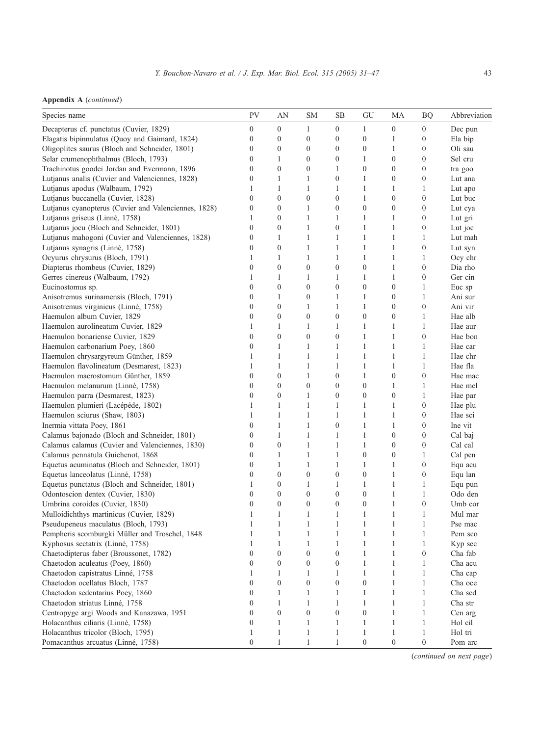| Species name                                         | <b>PV</b>        | AN               | SМ               | SВ               | GU               | МA               | <b>BQ</b>        | Abbreviation |
|------------------------------------------------------|------------------|------------------|------------------|------------------|------------------|------------------|------------------|--------------|
| Decapterus cf. punctatus (Cuvier, 1829)              | $\boldsymbol{0}$ | $\boldsymbol{0}$ | $\mathbf{1}$     | $\boldsymbol{0}$ | 1                | $\boldsymbol{0}$ | $\boldsymbol{0}$ | Dec pun      |
| Elagatis bipinnulatus (Quoy and Gaimard, 1824)       | $\mathbf{0}$     | $\boldsymbol{0}$ | $\boldsymbol{0}$ | $\mathbf{0}$     | $\boldsymbol{0}$ | 1                | $\boldsymbol{0}$ | Ela bip      |
| Oligoplites saurus (Bloch and Schneider, 1801)       | $\mathbf{0}$     | $\boldsymbol{0}$ | $\boldsymbol{0}$ | $\mathbf{0}$     | $\boldsymbol{0}$ | 1                | $\boldsymbol{0}$ | Oli sau      |
| Selar crumenophthalmus (Bloch, 1793)                 | $\mathbf{0}$     | $\mathbf{1}$     | $\boldsymbol{0}$ | $\mathbf{0}$     | 1                | $\boldsymbol{0}$ | $\boldsymbol{0}$ | Sel cru      |
| Trachinotus goodei Jordan and Evermann, 1896         | $\mathbf{0}$     | $\overline{0}$   | $\boldsymbol{0}$ | 1                | $\boldsymbol{0}$ | $\boldsymbol{0}$ | $\boldsymbol{0}$ | tra goo      |
| Lutjanus analis (Cuvier and Valenciennes, 1828)      | $\boldsymbol{0}$ | 1                | 1                | $\mathbf{0}$     | 1                | $\boldsymbol{0}$ | $\boldsymbol{0}$ | Lut ana      |
| Lutjanus apodus (Walbaum, 1792)                      | 1                | $\mathbf{1}$     | $\mathbf{1}$     | $\mathbf{1}$     | $\mathbf{1}$     | 1                | 1                | Lut apo      |
| Lutjanus buccanella (Cuvier, 1828)                   | $\mathbf{0}$     | $\overline{0}$   | $\boldsymbol{0}$ | $\boldsymbol{0}$ | $\mathbf{1}$     | $\boldsymbol{0}$ | $\boldsymbol{0}$ | Lut buc      |
| Lutjanus cyanopterus (Cuvier and Valenciennes, 1828) | $\boldsymbol{0}$ | $\mathbf{0}$     | 1                | $\mathbf{0}$     | $\boldsymbol{0}$ | $\boldsymbol{0}$ | $\boldsymbol{0}$ | Lut cya      |
| Lutjanus griseus (Linné, 1758)                       | 1                | $\boldsymbol{0}$ | $\mathbf{1}$     | 1                | 1                | $\mathbf{1}$     | $\boldsymbol{0}$ | Lut gri      |
| Lutjanus jocu (Bloch and Schneider, 1801)            | $\mathbf{0}$     | $\overline{0}$   | $\mathbf{1}$     | $\mathbf{0}$     | $\mathbf{1}$     | 1                | $\boldsymbol{0}$ | Lut joc      |
| Lutjanus mahogoni (Cuvier and Valenciennes, 1828)    | $\boldsymbol{0}$ | 1                | 1                | $\mathbf{1}$     | 1                | 1                | 1                | Lut mah      |
| Lutjanus synagris (Linné, 1758)                      | $\boldsymbol{0}$ | $\boldsymbol{0}$ | $\mathbf{1}$     | $\mathbf{1}$     | $\mathbf{1}$     | $\mathbf{1}$     | $\boldsymbol{0}$ | Lut syn      |
| Ocyurus chrysurus (Bloch, 1791)                      | 1                | $\mathbf{1}$     | $\mathbf{1}$     | $\mathbf{1}$     | 1                | 1                | 1                | Ocy chr      |
| Diapterus rhombeus (Cuvier, 1829)                    | $\boldsymbol{0}$ | $\boldsymbol{0}$ | $\boldsymbol{0}$ | $\mathbf{0}$     | $\boldsymbol{0}$ | 1                | $\boldsymbol{0}$ | Dia rho      |
| Gerres cinereus (Walbaum, 1792)                      | 1                | $\mathbf{1}$     | 1                | 1                | 1                | 1                | $\boldsymbol{0}$ | Ger cin      |
| Eucinostomus sp.                                     | $\mathbf{0}$     | $\mathbf{0}$     | $\boldsymbol{0}$ | $\mathbf{0}$     | $\boldsymbol{0}$ | $\boldsymbol{0}$ | 1                | Euc sp       |
| Anisotremus surinamensis (Bloch, 1791)               | $\boldsymbol{0}$ | 1                | $\boldsymbol{0}$ | 1                | 1                | $\boldsymbol{0}$ | 1                | Ani sur      |
| Anisotremus virginicus (Linné, 1758)                 | $\boldsymbol{0}$ | $\boldsymbol{0}$ | $\mathbf{1}$     | 1                | 1                | $\boldsymbol{0}$ | $\boldsymbol{0}$ | Ani vir      |
| Haemulon album Cuvier, 1829                          | $\mathbf{0}$     | $\boldsymbol{0}$ | $\boldsymbol{0}$ | $\boldsymbol{0}$ | $\boldsymbol{0}$ | $\boldsymbol{0}$ | 1                | Hae alb      |
| Haemulon aurolineatum Cuvier, 1829                   | 1                | 1                | 1                | 1                | 1                | 1                | 1                | Hae aur      |
| Haemulon bonariense Cuvier, 1829                     | $\mathbf{0}$     | $\boldsymbol{0}$ | $\boldsymbol{0}$ | $\mathbf{0}$     | $\mathbf{1}$     | $\mathbf{1}$     | $\boldsymbol{0}$ | Hae bon      |
| Haemulon carbonarium Poey, 1860                      | $\mathbf{0}$     | 1                | 1                | 1                | $\mathbf{1}$     | 1                | 1                | Hae car      |
| Haemulon chrysargyreum Günther, 1859                 | 1                | 1                | $\mathbf{1}$     | $\mathbf{1}$     | $\mathbf{1}$     | $\mathbf{1}$     | 1                | Hae chr      |
| Haemulon flavolineatum (Desmarest, 1823)             | 1                | 1                | 1                | 1                | 1                | 1                | 1                | Hae fla      |
| Haemulon macrostomum Günther, 1859                   | $\boldsymbol{0}$ | $\boldsymbol{0}$ | 1                | $\mathbf{0}$     | 1                | $\boldsymbol{0}$ | $\boldsymbol{0}$ | Hae mac      |
| Haemulon melanurum (Linné, 1758)                     | $\boldsymbol{0}$ | $\boldsymbol{0}$ | $\boldsymbol{0}$ | $\mathbf{0}$     | $\boldsymbol{0}$ | 1                | 1                | Hae mel      |
| Haemulon parra (Desmarest, 1823)                     | $\mathbf{0}$     | $\overline{0}$   | 1                | $\mathbf{0}$     | $\boldsymbol{0}$ | $\boldsymbol{0}$ | 1                | Hae par      |
| Haemulon plumieri (Lacépéde, 1802)                   | 1                | 1                | 1                | $\mathbf{1}$     | 1                | $\mathbf{1}$     | $\boldsymbol{0}$ | Hae plu      |
| Haemulon sciurus (Shaw, 1803)                        | 1                | $\mathbf{1}$     | 1                | $\mathbf{1}$     | $\mathbf{1}$     | 1                | $\boldsymbol{0}$ | Hae sci      |
| Inermia vittata Poey, 1861                           | $\mathbf{0}$     | 1                | 1                | $\mathbf{0}$     | 1                | 1                | $\boldsymbol{0}$ | Ine vit      |
| Calamus bajonado (Bloch and Schneider, 1801)         | $\mathbf{0}$     | $\mathbf{1}$     | 1                | $\mathbf{1}$     | $\mathbf{1}$     | $\boldsymbol{0}$ | $\boldsymbol{0}$ | Cal baj      |
| Calamus calamus (Cuvier and Valenciennes, 1830)      | $\mathbf{0}$     | $\overline{0}$   | $\mathbf{1}$     | $\mathbf{1}$     | $\mathbf{1}$     | $\boldsymbol{0}$ | $\boldsymbol{0}$ | Cal cal      |
| Calamus pennatula Guichenot, 1868                    | $\boldsymbol{0}$ | 1                | 1                | $\mathbf{1}$     | $\boldsymbol{0}$ | $\boldsymbol{0}$ | 1                | Cal pen      |
| Equetus acuminatus (Bloch and Schneider, 1801)       | $\theta$         | 1                | 1                | $\mathbf{1}$     | 1                | 1                | $\boldsymbol{0}$ | Equ acu      |
| Equetus lanceolatus (Linné, 1758)                    | $\mathbf{0}$     | $\mathbf{0}$     | $\boldsymbol{0}$ | $\mathbf{0}$     | $\boldsymbol{0}$ | $\mathbf{1}$     | $\boldsymbol{0}$ | Equ lan      |
| Equetus punctatus (Bloch and Schneider, 1801)        | 1                | $\mathbf{0}$     | $\mathbf{1}$     | 1                | 1                | 1                | 1                | Equ pun      |
| Odontoscion dentex (Cuvier, 1830)                    | $\mathbf{0}$     | $\boldsymbol{0}$ | $\boldsymbol{0}$ | $\mathbf{0}$     | $\boldsymbol{0}$ | 1                | 1                | Odo den      |
| Umbrina coroides (Cuvier, 1830)                      | $\mathbf{0}$     | $\overline{0}$   | $\boldsymbol{0}$ | $\mathbf{0}$     | $\boldsymbol{0}$ | $\mathbf{1}$     | $\boldsymbol{0}$ | Umb cor      |
| Mulloidichthys martinicus (Cuvier, 1829)             | 1                | 1                | $\mathbf{1}$     | 1                | 1                | 1                | 1                | Mul mar      |
| Pseudupeneus maculatus (Bloch, 1793)                 | 1                | $\mathbf{1}$     | $\mathbf{1}$     | $\mathbf{1}$     | $\mathbf{1}$     | 1                | 1                | Pse mac      |
| Pempheris scomburgki Müller and Troschel, 1848       | 1                | $\mathbf{1}$     | $\mathbf{1}$     | $\mathbf{1}$     | $\mathbf{1}$     | $\mathbf{1}$     | 1                | Pem sco      |
| Kyphosus sectatrix (Linné, 1758)                     | 1                | $\mathbf{1}$     | $\mathbf{1}$     | $\mathbf{1}$     | $\mathbf{1}$     | 1                | 1                | Kyp sec      |
| Chaetodipterus faber (Broussonet, 1782)              | $\boldsymbol{0}$ | $\boldsymbol{0}$ | 0                | $\boldsymbol{0}$ | 1                |                  | $\boldsymbol{0}$ | Cha fab      |
| Chaetodon aculeatus (Poey, 1860)                     | $\boldsymbol{0}$ | $\boldsymbol{0}$ | $\boldsymbol{0}$ | $\boldsymbol{0}$ | $\mathbf{1}$     | $\mathbf{1}$     | $\mathbf{1}$     | Cha acu      |
| Chaetodon capistratus Linné, 1758                    | 1                | $\mathbf{1}$     | $\mathbf{1}$     | $\mathbf{1}$     | $\mathbf{1}$     | $\mathbf{1}$     | $\mathbf{1}$     | Cha cap      |
| Chaetodon ocellatus Bloch, 1787                      | $\boldsymbol{0}$ | $\boldsymbol{0}$ | $\boldsymbol{0}$ | $\boldsymbol{0}$ | $\boldsymbol{0}$ | 1                | 1                | Cha oce      |
| Chaetodon sedentarius Poey, 1860                     | $\boldsymbol{0}$ | $\mathbf{1}$     | $\mathbf{1}$     | $\mathbf{1}$     | $\mathbf{1}$     | $\mathbf{1}$     | $\mathbf{1}$     | Cha sed      |
| Chaetodon striatus Linné, 1758                       | $\mathbf{0}$     | $\mathbf{1}$     | $\mathbf{1}$     | $\mathbf{1}$     | $\mathbf{1}$     | $\mathbf{1}$     | $\mathbf{1}$     | Cha str      |
| Centropyge argi Woods and Kanazawa, 1951             | $\boldsymbol{0}$ | $\boldsymbol{0}$ | $\boldsymbol{0}$ | $\boldsymbol{0}$ | $\boldsymbol{0}$ | $\mathbf{1}$     | $\mathbf{1}$     | Cen arg      |
| Holacanthus ciliaris (Linné, 1758)                   | $\boldsymbol{0}$ | $\mathbf{1}$     | $\mathbf{1}$     | $\mathbf{1}$     | $\mathbf{1}$     | $\mathbf{1}$     | $\mathbf{1}$     | Hol cil      |
| Holacanthus tricolor (Bloch, 1795)                   | 1                | $\mathbf{1}$     | $\mathbf{1}$     | $\mathbf{1}$     | $\mathbf{1}$     | $\mathbf{1}$     | $\mathbf{1}$     | Hol tri      |
| Pomacanthus arcuatus (Linné, 1758)                   | $\boldsymbol{0}$ | $\mathbf{1}$     | $\mathbf{1}$     | $\mathbf{1}$     | $\boldsymbol{0}$ | $\boldsymbol{0}$ | $\boldsymbol{0}$ | Pom arc      |

(continued on next page)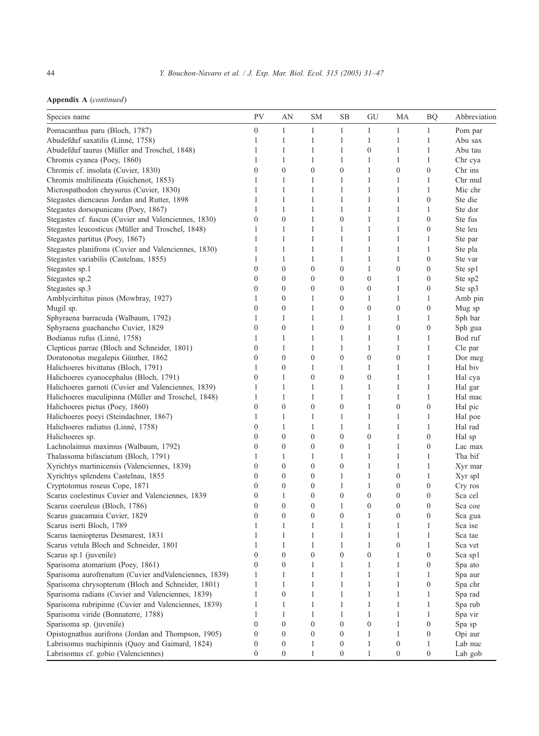|  |  |  | Appendix A (continued) |  |
|--|--|--|------------------------|--|
|--|--|--|------------------------|--|

| Species name                                           | PV               | AN               | <b>SM</b>        | SB               | GU               | MA               | <b>BQ</b>        | Abbreviation        |
|--------------------------------------------------------|------------------|------------------|------------------|------------------|------------------|------------------|------------------|---------------------|
| Pomacanthus paru (Bloch, 1787)                         | $\boldsymbol{0}$ | $\mathbf{1}$     | 1                | $\mathbf{1}$     | $\mathbf{1}$     | $\mathbf{1}$     | $\mathbf{1}$     | Pom par             |
| Abudefduf saxatilis (Linné, 1758)                      | 1                | $\mathbf{1}$     | 1                | 1                | $\mathbf{1}$     | $\mathbf{1}$     | 1                | Abu sax             |
| Abudefduf taurus (Müller and Troschel, 1848)           | 1                | 1                | 1                | 1                | $\boldsymbol{0}$ | $\mathbf{1}$     | $\mathbf{1}$     | Abu tau             |
| Chromis cyanea (Poey, 1860)                            | 1                | 1                | $\mathbf{1}$     | $\mathbf{1}$     | $\mathbf{1}$     | $\mathbf{1}$     | $\mathbf{1}$     | Chr cya             |
| Chromis cf. insolata (Cuvier, 1830)                    | $\boldsymbol{0}$ | $\boldsymbol{0}$ | $\boldsymbol{0}$ | $\boldsymbol{0}$ | $\mathbf{1}$     | $\boldsymbol{0}$ | $\boldsymbol{0}$ | Chr ins             |
| Chromis multilineata (Guichenot, 1853)                 | 1                | 1                | 1                | 1                | 1                | 1                | $\mathbf{1}$     | Chr mul             |
| Microspathodon chrysurus (Cuvier, 1830)                | 1                | 1                | $\mathbf{1}$     | 1                | $\mathbf{1}$     | $\mathbf{1}$     | $\mathbf{1}$     | Mic chr             |
| Stegastes diencaeus Jordan and Rutter, 1898            | 1                | 1                | 1                | $\mathbf{1}$     | 1                | $\mathbf{1}$     | $\mathbf{0}$     | Ste die             |
| Stegastes dorsopunicans (Poey, 1867)                   | 1                | $\mathbf{1}$     | 1                | 1                | $\mathbf{1}$     | $\mathbf{1}$     | 1                | Ste dor             |
| Stegastes cf. fuscus (Cuvier and Valenciennes, 1830)   | $\boldsymbol{0}$ | $\boldsymbol{0}$ | $\mathbf{1}$     | $\boldsymbol{0}$ | $\mathbf{1}$     | $\mathbf{1}$     | $\boldsymbol{0}$ | Ste fus             |
| Stegastes leucosticus (Müller and Troschel, 1848)      | 1                | 1                | 1                | $\mathbf{1}$     | $\mathbf{1}$     | $\mathbf{1}$     | $\mathbf{0}$     | Ste leu             |
| Stegastes partitus (Poey, 1867)                        | 1                | $\mathbf{1}$     | 1                | 1                | $\mathbf{1}$     | $\mathbf{1}$     | $\mathbf{1}$     | Ste par             |
| Stegastes planifrons (Cuvier and Valenciennes, 1830)   | 1                | $\mathbf{1}$     | 1                | 1                | $\mathbf{1}$     | $\mathbf{1}$     | $\mathbf{1}$     | Ste pla             |
| Stegastes variabilis (Castelnau, 1855)                 | 1                | 1                | 1                | 1                | $\mathbf{1}$     | $\mathbf{1}$     | $\boldsymbol{0}$ | Ste var             |
| Stegastes sp.1                                         | $\mathbf{0}$     | $\boldsymbol{0}$ | $\boldsymbol{0}$ | $\boldsymbol{0}$ | $\mathbf{1}$     | $\boldsymbol{0}$ | $\boldsymbol{0}$ | Ste sp1             |
| Stegastes sp.2                                         | $\boldsymbol{0}$ | $\boldsymbol{0}$ | $\boldsymbol{0}$ | $\boldsymbol{0}$ | $\boldsymbol{0}$ | $\mathbf{1}$     | $\boldsymbol{0}$ | Ste sp2             |
| Stegastes sp.3                                         | $\boldsymbol{0}$ | $\boldsymbol{0}$ | $\boldsymbol{0}$ | $\boldsymbol{0}$ | $\boldsymbol{0}$ | $\mathbf{1}$     | $\boldsymbol{0}$ | Ste sp3             |
| Amblycirrhitus pinos (Mowbray, 1927)                   | 1                | $\boldsymbol{0}$ | 1                | $\boldsymbol{0}$ | 1                | $\mathbf{1}$     | 1                | Amb pin             |
| Mugil sp.                                              | $\boldsymbol{0}$ | $\boldsymbol{0}$ | 1                | $\boldsymbol{0}$ | $\boldsymbol{0}$ | $\boldsymbol{0}$ | $\boldsymbol{0}$ | Mug sp              |
| Sphyraena barracuda (Walbaum, 1792)                    | 1                | 1                | 1                | 1                | $\mathbf{1}$     | 1                | $\mathbf{1}$     | Sph bar             |
| Sphyraena guachancho Cuvier, 1829                      | $\boldsymbol{0}$ | $\mathbf{0}$     | 1                | $\boldsymbol{0}$ | 1                | $\boldsymbol{0}$ | $\boldsymbol{0}$ | Sph gua             |
| Bodianus rufus (Linné, 1758)                           | 1                | 1                | 1                | 1                | 1                | $\mathbf{1}$     | 1                | Bod ruf             |
| Clepticus parrae (Bloch and Schneider, 1801)           | $\boldsymbol{0}$ | 1                | 1                | 1                | 1                | $\mathbf{1}$     | 1                | Cle par             |
| Doratonotus megalepis Günther, 1862                    | $\boldsymbol{0}$ | $\mathbf{0}$     | $\boldsymbol{0}$ | $\boldsymbol{0}$ | $\boldsymbol{0}$ | $\boldsymbol{0}$ | 1                | Dor meg             |
| Halichoeres bivittatus (Bloch, 1791)                   | 1                | $\boldsymbol{0}$ | 1                | 1                | 1                | 1                | 1                | Hal biv             |
| Halichoeres cyanocephalus (Bloch, 1791)                | $\boldsymbol{0}$ | 1                | $\boldsymbol{0}$ | $\boldsymbol{0}$ | $\boldsymbol{0}$ | $\mathbf{1}$     | $\mathbf{1}$     | Hal cya             |
| Halichoeres garnoti (Cuvier and Valenciennes, 1839)    | 1                | $\mathbf{1}$     | 1                | 1                | 1                | $\mathbf{1}$     | $\mathbf{1}$     | Hal gar             |
| Halichoeres maculipinna (Müller and Troschel, 1848)    | 1                | 1                | 1                | 1                | 1                | $\mathbf{1}$     | 1                | Hal mac             |
| Halichoeres pictus (Poey, 1860)                        | $\boldsymbol{0}$ | $\boldsymbol{0}$ | $\boldsymbol{0}$ | $\boldsymbol{0}$ | 1                | $\boldsymbol{0}$ | $\boldsymbol{0}$ | Hal pic             |
| Halichoeres poeyi (Steindachner, 1867)                 | 1                | $\mathbf{1}$     | 1                | 1                | $\mathbf{1}$     | $\mathbf{1}$     | $\mathbf{1}$     | Hal poe             |
| Halichoeres radiatus (Linné, 1758)                     | $\boldsymbol{0}$ | 1                | 1                | 1                | $\mathbf{1}$     | $\mathbf{1}$     | 1                | Hal rad             |
| Halichoeres sp.                                        | $\boldsymbol{0}$ | $\boldsymbol{0}$ | $\boldsymbol{0}$ | $\boldsymbol{0}$ | $\boldsymbol{0}$ | $\mathbf{1}$     | $\boldsymbol{0}$ | Hal sp              |
| Lachnolaimus maximus (Walbaum, 1792)                   | $\boldsymbol{0}$ | $\boldsymbol{0}$ | $\boldsymbol{0}$ | $\boldsymbol{0}$ | $\mathbf{1}$     | $\mathbf{1}$     | $\mathbf{0}$     | Lac max             |
| Thalassoma bifasciatum (Bloch, 1791)                   | 1                | 1                | 1                | 1                | 1                | $\mathbf{1}$     | 1                | Tha bif             |
| Xyrichtys martinicensis (Valenciennes, 1839)           | $\boldsymbol{0}$ | $\boldsymbol{0}$ | $\boldsymbol{0}$ | $\boldsymbol{0}$ | 1                | $\mathbf{1}$     | 1                | Xyr mar             |
| Xyrichtys splendens Castelnau, 1855                    | $\boldsymbol{0}$ | $\boldsymbol{0}$ | $\boldsymbol{0}$ | 1                | $\mathbf{1}$     | $\boldsymbol{0}$ | 1                | Xyr spl             |
| Cryptotomus roseus Cope, 1871                          | $\mathbf{0}$     | $\boldsymbol{0}$ | $\boldsymbol{0}$ | 1                | $\mathbf{1}$     | $\boldsymbol{0}$ | $\boldsymbol{0}$ | Cry ros             |
| Scarus coelestinus Cuvier and Valenciennes, 1839       | $\boldsymbol{0}$ | 1                | $\boldsymbol{0}$ | $\boldsymbol{0}$ | $\boldsymbol{0}$ | $\boldsymbol{0}$ | $\boldsymbol{0}$ | Sca cel             |
| Scarus coeruleus (Bloch, 1786)                         | $\boldsymbol{0}$ | $\boldsymbol{0}$ | $\boldsymbol{0}$ | 1                | $\boldsymbol{0}$ | $\boldsymbol{0}$ | $\mathbf{0}$     | Sca coe             |
| Scarus guacamaia Cuvier, 1829                          | $\mathbf{0}$     | $\boldsymbol{0}$ | $\boldsymbol{0}$ | $\boldsymbol{0}$ | 1                | $\boldsymbol{0}$ | $\boldsymbol{0}$ | Sca gua             |
| Scarus iserti Bloch, 1789                              | 1                | 1                | 1                | 1                | $\mathbf{1}$     | $\mathbf{1}$     | $\mathbf{1}$     | Sca ise             |
| Scarus taeniopterus Desmarest, 1831                    | 1                | $\mathbf{1}$     | 1                | 1                | $\mathbf{1}$     | $\mathbf{1}$     | $\mathbf{1}$     | Sca tae             |
| Scarus vetula Bloch and Schneider, 1801                | $\mathbf{1}$     | $\mathbf{1}$     | 1                | 1                | $\mathbf{1}$     | $\mathbf{0}$     | $\mathbf{1}$     | Sca vet             |
| Scarus sp.1 (juvenile)                                 | $\boldsymbol{0}$ | $\boldsymbol{0}$ | $\boldsymbol{0}$ | $\boldsymbol{0}$ | $\boldsymbol{0}$ |                  | $\boldsymbol{0}$ | $\rm Sca$ $\rm sp1$ |
| Sparisoma atomarium (Poey, 1861)                       | $\boldsymbol{0}$ | $\boldsymbol{0}$ | $\mathbf{1}$     | $\mathbf{1}$     | $\mathbf{1}$     | 1                | $\boldsymbol{0}$ | Spa ato             |
| Sparisoma aurofrenatum (Cuvier and Valenciennes, 1839) | 1                | 1                | 1                | $\mathbf{1}$     | $\mathbf{1}$     | $\mathbf{1}$     | $\mathbf{1}$     | Spa aur             |
| Sparisoma chrysopterum (Bloch and Schneider, 1801)     | 1                | $\mathbf{1}$     | $\mathbf{1}$     | $\mathbf{1}$     | $\mathbf{1}$     | $\mathbf{1}$     | $\boldsymbol{0}$ | Spa chr             |
| Sparisoma radians (Cuvier and Valenciennes, 1839)      | $\mathbf{1}$     | $\boldsymbol{0}$ | $\mathbf{1}$     | $\mathbf{1}$     | $\mathbf{1}$     | $\mathbf{1}$     | $\mathbf{1}$     | Spa rad             |
| Sparisoma rubripinne (Cuvier and Valenciennes, 1839)   | $\mathbf{1}$     | 1                | 1                | 1                | 1                | $\mathbf{1}$     | 1                | Spa rub             |
| Sparisoma viride (Bonnaterre, 1788)                    | 1                | $\mathbf{1}$     | $\mathbf{1}$     | $\mathbf{1}$     | $\mathbf{1}$     | $\mathbf{1}$     | $\mathbf{1}$     | Spa vir             |
| Sparisoma sp. (juvenile)                               | $\boldsymbol{0}$ | $\boldsymbol{0}$ | $\boldsymbol{0}$ | $\boldsymbol{0}$ | $\boldsymbol{0}$ | $\mathbf{1}$     | $\boldsymbol{0}$ | Spa sp              |
| Opistognathus aurifrons (Jordan and Thompson, 1905)    | $\mathbf{0}$     | $\mathbf{0}$     | 0                | $\boldsymbol{0}$ | $\mathbf{1}$     | $\mathbf{1}$     | $\boldsymbol{0}$ | Opi aur             |
| Labrisomus nuchipinnis (Quoy and Gaimard, 1824)        | $\boldsymbol{0}$ | $\boldsymbol{0}$ | $\mathbf{1}$     | $\boldsymbol{0}$ | $\mathbf{1}$     | $\boldsymbol{0}$ | $\mathbf{1}$     | Lab nuc             |
| Labrisomus cf. gobio (Valenciennes)                    | $\boldsymbol{0}$ | $\boldsymbol{0}$ | $\mathbf{1}$     | $\boldsymbol{0}$ | $\mathbf{1}$     | $\boldsymbol{0}$ | $\mathbf{0}$     | Lab gob             |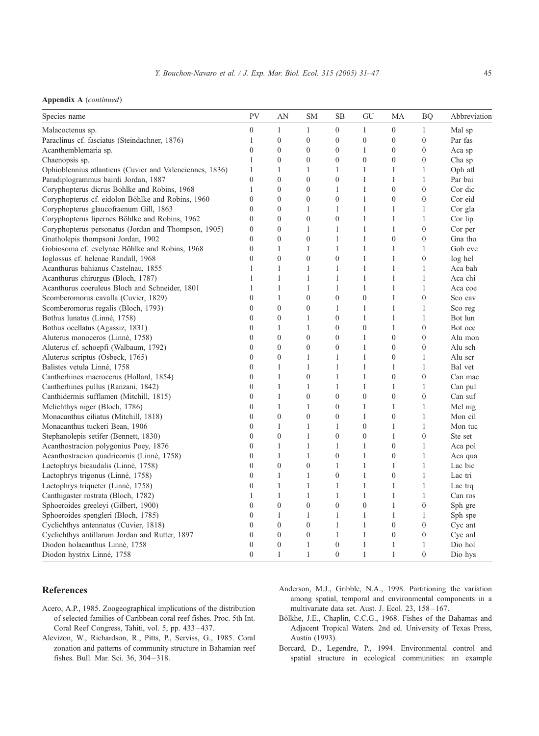<span id="page-14-0"></span>

|  |  | <b>Appendix A</b> (continued) |
|--|--|-------------------------------|
|--|--|-------------------------------|

| Species name                                             | PV             | AN               | <b>SM</b>        | <b>SB</b>        | GU               | MA               | <b>BQ</b>        | Abbreviation |
|----------------------------------------------------------|----------------|------------------|------------------|------------------|------------------|------------------|------------------|--------------|
| Malacoctenus sp.                                         | $\mathbf{0}$   | $\mathbf{1}$     | $\mathbf{1}$     | $\mathbf{0}$     | $\mathbf{1}$     | $\mathbf{0}$     | $\mathbf{1}$     | Mal sp       |
| Paraclinus cf. fasciatus (Steindachner, 1876)            | 1              | $\boldsymbol{0}$ | $\boldsymbol{0}$ | $\boldsymbol{0}$ | $\boldsymbol{0}$ | $\boldsymbol{0}$ | $\boldsymbol{0}$ | Par fas      |
| Acanthemblemaria sp.                                     | $\mathbf{0}$   | $\boldsymbol{0}$ | $\boldsymbol{0}$ | $\boldsymbol{0}$ | $\mathbf{1}$     | $\boldsymbol{0}$ | $\boldsymbol{0}$ | Aca sp       |
| Chaenopsis sp.                                           | $\mathbf{1}$   | $\mathbf{0}$     | $\mathbf{0}$     | $\mathbf{0}$     | $\mathbf{0}$     | $\mathbf{0}$     | $\mathbf{0}$     | Cha sp       |
| Ophioblennius atlanticus (Cuvier and Valenciennes, 1836) | 1              | 1                | 1                | 1                | 1                | $\mathbf{1}$     | 1                | Oph atl      |
| Paradiplogrammus bairdi Jordan, 1887                     | $\mathbf{0}$   | $\overline{0}$   | $\boldsymbol{0}$ | $\boldsymbol{0}$ | $\mathbf{1}$     | $\mathbf{1}$     | $\mathbf{1}$     | Par bai      |
| Coryphopterus dicrus Bohlke and Robins, 1968             | 1              | $\overline{0}$   | $\mathbf{0}$     | 1                | $\mathbf{1}$     | $\mathbf{0}$     | $\mathbf{0}$     | Cor dic      |
| Coryphopterus cf. eidolon Böhlke and Robins, 1960        | $\mathbf{0}$   | $\mathbf{0}$     | $\boldsymbol{0}$ | $\boldsymbol{0}$ | 1                | $\boldsymbol{0}$ | $\boldsymbol{0}$ | Cor eid      |
| Coryphopterus glaucofraenum Gill, 1863                   | $\mathbf{0}$   | $\overline{0}$   | 1                | $\mathbf{1}$     | $\mathbf{1}$     | $\mathbf{1}$     | $\mathbf{1}$     | Cor gla      |
| Coryphopterus lipernes Böhlke and Robins, 1962           | $\theta$       | $\theta$         | $\overline{0}$   | $\theta$         | $\mathbf{1}$     | $\mathbf{1}$     | $\mathbf{1}$     | Cor lip      |
| Coryphopterus personatus (Jordan and Thompson, 1905)     | $\mathbf{0}$   | $\mathbf{0}$     | 1                | 1                | 1                | 1                | $\boldsymbol{0}$ | Cor per      |
| Gnatholepis thompsoni Jordan, 1902                       | $\overline{0}$ | $\mathbf{0}$     | $\boldsymbol{0}$ | $\mathbf{1}$     | $\mathbf{1}$     | $\boldsymbol{0}$ | $\boldsymbol{0}$ | Gna tho      |
| Gobiosoma cf. evelynae Böhlke and Robins, 1968           | $\mathbf{0}$   | $\mathbf{1}$     | $\mathbf{1}$     | $\mathbf{1}$     | $\mathbf{1}$     | 1                | $\mathbf{1}$     | Gob eve      |
| Ioglossus cf. helenae Randall, 1968                      | $\mathbf{0}$   | $\mathbf{0}$     | $\mathbf{0}$     | $\mathbf{0}$     | $\mathbf{1}$     | 1                | $\mathbf{0}$     | log hel      |
| Acanthurus bahianus Castelnau, 1855                      | 1              | $\mathbf{1}$     | $\mathbf{1}$     | $\mathbf{1}$     | $\mathbf{1}$     | $\mathbf{1}$     | $\mathbf{1}$     | Aca bah      |
| Acanthurus chirurgus (Bloch, 1787)                       | $\mathbf{1}$   | $\mathbf{1}$     | 1                | 1                | $\mathbf{1}$     | 1                | $\mathbf{1}$     | Aca chi      |
| Acanthurus coeruleus Bloch and Schneider, 1801           | 1              | $\mathbf{1}$     | 1                | $\mathbf{1}$     | $\mathbf{1}$     | $\mathbf{1}$     | $\mathbf{1}$     | Aca coe      |
| Scomberomorus cavalla (Cuvier, 1829)                     | $\overline{0}$ | $\mathbf{1}$     | $\overline{0}$   | $\mathbf{0}$     | $\overline{0}$   | $\mathbf{1}$     | $\boldsymbol{0}$ | Sco cav      |
| Scomberomorus regalis (Bloch, 1793)                      | $\overline{0}$ | $\mathbf{0}$     | $\mathbf{0}$     | 1                | $\mathbf{1}$     | 1                | $\mathbf{1}$     | Sco reg      |
| Bothus lunatus (Linné, 1758)                             | $\mathbf{0}$   | $\mathbf{0}$     | 1                | $\boldsymbol{0}$ | $\mathbf{1}$     | $\mathbf{1}$     | $\mathbf{1}$     | Bot lun      |
| Bothus ocellatus (Agassiz, 1831)                         | $\mathbf{0}$   | $\mathbf{1}$     | $\mathbf{1}$     | $\boldsymbol{0}$ | $\boldsymbol{0}$ | $\mathbf{1}$     | $\boldsymbol{0}$ | Bot oce      |
| Aluterus monoceros (Linné, 1758)                         | $\overline{0}$ | $\theta$         | $\mathbf{0}$     | $\mathbf{0}$     | $\mathbf{1}$     | $\mathbf{0}$     | $\mathbf{0}$     | Alu mon      |
| Aluterus cf. schoepfi (Walbaum, 1792)                    | $\mathbf{0}$   | $\overline{0}$   | $\boldsymbol{0}$ | $\mathbf{0}$     | $\mathbf{1}$     | $\boldsymbol{0}$ | $\boldsymbol{0}$ | Alu sch      |
| Aluterus scriptus (Osbeck, 1765)                         | $\mathbf{0}$   | $\mathbf{0}$     | $\mathbf{1}$     | $\mathbf{1}$     | $\mathbf{1}$     | $\boldsymbol{0}$ | $\mathbf{1}$     | Alu scr      |
| Balistes vetula Linné, 1758                              | $\overline{0}$ | $\mathbf{1}$     | $\mathbf{1}$     | $\mathbf{1}$     | $\mathbf{1}$     | $\mathbf{1}$     | $\mathbf{1}$     | Bal vet      |
| Cantherhines macrocerus (Hollard, 1854)                  | $\mathbf{0}$   | $\mathbf{1}$     | $\mathbf{0}$     | 1                | $\mathbf{1}$     | $\boldsymbol{0}$ | $\mathbf{0}$     | Can mac      |
| Cantherhines pullus (Ranzani, 1842)                      | $\mathbf{0}$   | $\mathbf{1}$     | 1                | $\mathbf{1}$     | $\mathbf{1}$     | 1                | $\mathbf{1}$     | Can pul      |
| Canthidermis sufflamen (Mitchill, 1815)                  | $\overline{0}$ | $\mathbf{1}$     | $\mathbf{0}$     | $\mathbf{0}$     | $\mathbf{0}$     | $\boldsymbol{0}$ | $\mathbf{0}$     | Can suf      |
| Melichthys niger (Bloch, 1786)                           | $\mathbf{0}$   | $\mathbf{1}$     | 1                | $\mathbf{0}$     | 1                | 1                | $\mathbf{1}$     | Mel nig      |
| Monacanthus ciliatus (Mitchill, 1818)                    | $\mathbf{0}$   | $\overline{0}$   | $\overline{0}$   | $\boldsymbol{0}$ | $\,1\,$          | $\boldsymbol{0}$ | $\,1\,$          | Mon cil      |
| Monacanthus tuckeri Bean, 1906                           | $\overline{0}$ | $\mathbf{1}$     | 1                | 1                | $\overline{0}$   | $\mathbf{1}$     | $\mathbf{1}$     | Mon tuc      |
| Stephanolepis setifer (Bennett, 1830)                    | $\mathbf{0}$   | $\mathbf{0}$     | 1                | $\mathbf{0}$     | $\mathbf{0}$     | 1                | $\mathbf{0}$     | Ste set      |
| Acanthostracion polygonius Poey, 1876                    | $\mathbf{0}$   | $\mathbf{1}$     | $\mathbf{1}$     | $\mathbf{1}$     | $\mathbf{1}$     | $\boldsymbol{0}$ | $\mathbf{1}$     | Aca pol      |
| Acanthostracion quadricornis (Linné, 1758)               | $\overline{0}$ | 1                | $\mathbf{1}$     | $\mathbf{0}$     | $\mathbf{1}$     | $\mathbf{0}$     | $\mathbf{1}$     | Aca qua      |
| Lactophrys bicaudalis (Linné, 1758)                      | $\overline{0}$ | $\mathbf{0}$     | $\mathbf{0}$     | $\mathbf{1}$     | $\mathbf{1}$     | $\mathbf{1}$     | $\mathbf{1}$     | Lac bic      |
| Lactophrys trigonus (Linné, 1758)                        | $\overline{0}$ | 1                | $\mathbf{1}$     | $\boldsymbol{0}$ | $\mathbf{1}$     | $\boldsymbol{0}$ | $\,1\,$          | Lac tri      |
| Lactophrys triqueter (Linné, 1758)                       | $\overline{0}$ | 1                | 1                | 1                | $\mathbf{1}$     | $\mathbf{1}$     | $\mathbf{1}$     | Lac trq      |
| Canthigaster rostrata (Bloch, 1782)                      | 1              | $\mathbf{1}$     | 1                | $\mathbf{1}$     | $\mathbf{1}$     | 1                | $\mathbf{1}$     | Can ros      |
| Sphoeroides greeleyi (Gilbert, 1900)                     | $\overline{0}$ | $\mathbf{0}$     | $\overline{0}$   | $\mathbf{0}$     | $\boldsymbol{0}$ | $\mathbf{1}$     | $\boldsymbol{0}$ | Sph gre      |
| Sphoeroides spengleri (Bloch, 1785)                      | $\overline{0}$ | 1                | 1                | $\mathbf{1}$     | $\mathbf{1}$     | 1                | 1                | Sph spe      |
| Cyclichthys antennatus (Cuvier, 1818)                    | $\mathbf{0}$   | $\mathbf{0}$     | $\boldsymbol{0}$ | $\mathbf{1}$     | $\mathbf{1}$     | $\boldsymbol{0}$ | $\boldsymbol{0}$ | Cyc ant      |
| Cyclichthys antillarum Jordan and Rutter, 1897           | $\mathbf{0}$   | $\mathbf{0}$     | $\boldsymbol{0}$ | $\mathbf{1}$     | $\mathbf{1}$     | $\boldsymbol{0}$ | $\boldsymbol{0}$ | Cyc anl      |
| Diodon holacanthus Linné, 1758                           | $\overline{0}$ | $\mathbf{0}$     | 1                | $\mathbf{0}$     | $\mathbf{1}$     | $\mathbf{1}$     | $\mathbf{1}$     | Dio hol      |
| Diodon hystrix Linné, 1758                               | $\mathbf{0}$   | 1                | 1                | $\mathbf{0}$     | $\mathbf{1}$     | $\mathbf{1}$     | $\mathbf{0}$     | Dio hys      |

# References

- Acero, A.P., 1985. Zoogeographical implications of the distribution of selected families of Caribbean coral reef fishes. Proc. 5th Int. Coral Reef Congress, Tahiti, vol. 5, pp. 433 – 437.
- Alevizon, W., Richardson, R., Pitts, P., Serviss, G., 1985. Coral zonation and patterns of community structure in Bahamian reef fishes. Bull. Mar. Sci. 36, 304 – 318.
- Anderson, M.J., Gribble, N.A., 1998. Partitioning the variation among spatial, temporal and environmental components in a multivariate data set. Aust. J. Ecol. 23, 158 – 167.
- Bölkhe, J.E., Chaplin, C.C.G., 1968. Fishes of the Bahamas and Adjacent Tropical Waters. 2nd ed. University of Texas Press, Austin (1993).
- Borcard, D., Legendre, P., 1994. Environmental control and spatial structure in ecological communities: an example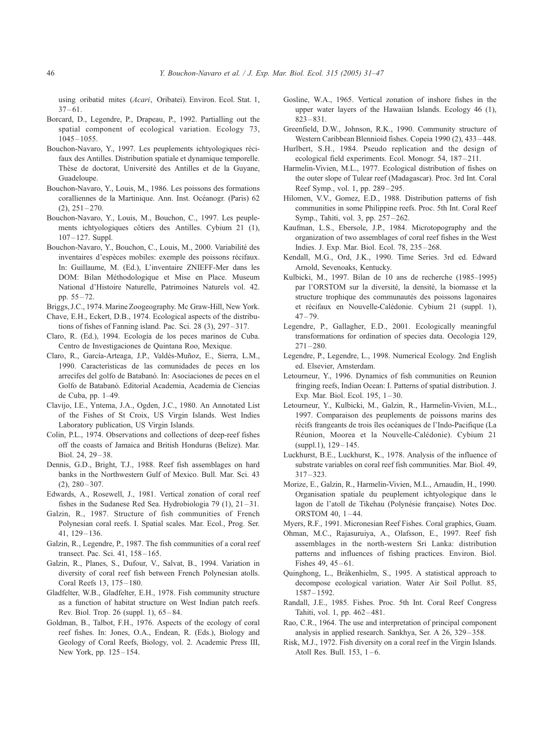using oribatid mites (Acari, Oribatei). Environ. Ecol. Stat. 1,  $37 - 61$ .

- Borcard, D., Legendre, P., Drapeau, P., 1992. Partialling out the spatial component of ecological variation. Ecology 73,  $1045 - 1055$ .
- Bouchon-Navaro, Y., 1997. Les peuplements ichtyologiques récifaux des Antilles. Distribution spatiale et dynamique temporelle. Thèse de doctorat, Université des Antilles et de la Guyane, **Guadeloupe.**
- Bouchon-Navaro, Y., Louis, M., 1986. Les poissons des formations coralliennes de la Martinique. Ann. Inst. Océanogr. (Paris) 62  $(2)$ ,  $251 - 270$ .
- Bouchon-Navaro, Y., Louis, M., Bouchon, C., 1997. Les peuplements ichtyologiques côtiers des Antilles. Cybium 21 (1),  $107 - 127$ . Suppl.
- Bouchon-Navaro, Y., Bouchon, C., Louis, M., 2000. Variabilité des inventaires d'espèces mobiles: exemple des poissons récifaux. In: Guillaume, M. (Ed.), L'inventaire ZNIEFF-Mer dans les DOM: Bilan Méthodologique et Mise en Place. Museum National d'Histoire Naturelle, Patrimoines Naturels vol. 42. pp. 55 – 72.
- Briggs, J.C., 1974. Marine Zoogeography. Mc Graw-Hill, New York.
- Chave, E.H., Eckert, D.B., 1974. Ecological aspects of the distributions of fishes of Fanning island. Pac. Sci. 28 (3), 297 – 317.
- Claro, R. (Ed.), 1994. Ecología de los peces marinos de Cuba. Centro de Investigaciones de Quintana Roo, Mexique.
- Claro, R., García-Arteaga, J.P., Valdés-Muñoz, E., Sierra, L.M., 1990. Características de las comunidades de peces en los arrecifes del golfo de Batabanó. In: Asociaciones de peces en el Golfo de Batabanó. Editorial Academia, Academia de Ciencias de Cuba, pp. 1–49.
- Clavijo, I.E., Yntema, J.A., Ogden, J.C., 1980. An Annotated List of the Fishes of St Croix, US Virgin Islands. West Indies Laboratory publication, US Virgin Islands.
- Colin, P.L., 1974. Observations and collections of deep-reef fishes off the coasts of Jamaica and British Honduras (Belize). Mar. Biol. 24, 29 – 38.
- Dennis, G.D., Bright, T.J., 1988. Reef fish assemblages on hard banks in the Northwestern Gulf of Mexico. Bull. Mar. Sci. 43  $(2), 280 - 307.$
- Edwards, A., Rosewell, J., 1981. Vertical zonation of coral reef fishes in the Sudanese Red Sea. Hydrobiologia 79 (1), 21-31.
- Galzin, R., 1987. Structure of fish communities of French Polynesian coral reefs. I. Spatial scales. Mar. Ecol., Prog. Ser. 41, 129 – 136.
- Galzin, R., Legendre, P., 1987. The fish communities of a coral reef transect. Pac. Sci. 41, 158-165.
- Galzin, R., Planes, S., Dufour, V., Salvat, B., 1994. Variation in diversity of coral reef fish between French Polynesian atolls. Coral Reefs 13, 175 – 180.
- Gladfelter, W.B., Gladfelter, E.H., 1978. Fish community structure as a function of habitat structure on West Indian patch reefs. Rev. Biol. Trop. 26 (suppl. 1), 65 – 84.
- Goldman, B., Talbot, F.H., 1976. Aspects of the ecology of coral reef fishes. In: Jones, O.A., Endean, R. (Eds.), Biology and Geology of Coral Reefs, Biology, vol. 2. Academic Press III, New York, pp. 125 – 154.
- Gosline, W.A., 1965. Vertical zonation of inshore fishes in the upper water layers of the Hawaiian Islands. Ecology 46 (1),  $823 - 831.$
- Greenfield, D.W., Johnson, R.K., 1990. Community structure of Western Caribbean Blennioid fishes. Copeia 1990 (2), 433 – 448.
- Hurlbert, S.H., 1984. Pseudo replication and the design of ecological field experiments. Ecol. Monogr. 54, 187-211.
- Harmelin-Vivien, M.L., 1977. Ecological distribution of fishes on the outer slope of Tulear reef (Madagascar). Proc. 3rd Int. Coral Reef Symp., vol. 1, pp. 289-295.
- Hilomen, V.V., Gomez, E.D., 1988. Distribution patterns of fish communities in some Philippine reefs. Proc. 5th Int. Coral Reef Symp., Tahiti, vol. 3, pp. 257 – 262.
- Kaufman, L.S., Ebersole, J.P., 1984. Microtopography and the organization of two assemblages of coral reef fishes in the West Indies. J. Exp. Mar. Biol. Ecol. 78, 235 – 268.
- Kendall, M.G., Ord, J.K., 1990. Time Series. 3rd ed. Edward Arnold, Sevenoaks, Kentucky.
- Kulbicki, M., 1997. Bilan de 10 ans de recherche (1985–1995) par l'ORSTOM sur la diversité, la densité, la biomasse et la structure trophique des communautés des poissons lagonaires et récifaux en Nouvelle-Calédonie. Cybium 21 (suppl. 1),  $47 - 79.$
- Legendre, P., Gallagher, E.D., 2001. Ecologically meaningful transformations for ordination of species data. Oecologia 129,  $271 - 280.$
- Legendre, P., Legendre, L., 1998. Numerical Ecology. 2nd English ed. Elsevier, Amsterdam.
- Letourneur, Y., 1996. Dynamics of fish communities on Reunion fringing reefs, Indian Ocean: I. Patterns of spatial distribution. J. Exp. Mar. Biol. Ecol. 195, 1-30.
- Letourneur, Y., Kulbicki, M., Galzin, R., Harmelin-Vivien, M.L., 1997. Comparaison des peuplements de poissons marins des récifs frangeants de trois îles océaniques de l'Indo-Pacifique (La Réunion, Moorea et la Nouvelle-Calédonie). Cybium 21 (suppl.1), 129 – 145.
- Luckhurst, B.E., Luckhurst, K., 1978. Analysis of the influence of substrate variables on coral reef fish communities. Mar. Biol. 49,  $317 - 323$
- Morize, E., Galzin, R., Harmelin-Vivien, M.L., Arnaudin, H., 1990. Organisation spatiale du peuplement ichtyologique dans le lagon de l'atoll de Tikehau (Polynésie française). Notes Doc. ORSTOM 40, 1 – 44.
- Myers, R.F., 1991. Micronesian Reef Fishes. Coral graphics, Guam.
- Ohman, M.C., Rajasuruiya, A., Olafsson, E., 1997. Reef fish assemblages in the north-western Sri Lanka: distribution patterns and influences of fishing practices. Environ. Biol. Fishes  $49, 45 - 61$ .
- Quinghong, L., Bråkenhielm, S., 1995. A statistical approach to decompose ecological variation. Water Air Soil Pollut. 85, 1587 – 1592.
- Randall, J.E., 1985. Fishes. Proc. 5th Int. Coral Reef Congress Tahiti, vol. 1, pp. 462 – 481.
- Rao, C.R., 1964. The use and interpretation of principal component analysis in applied research. Sankhya, Ser. A 26, 329 – 358.
- Risk, M.J., 1972. Fish diversity on a coral reef in the Virgin Islands. Atoll Res. Bull.  $153$ ,  $1-6$ .

<span id="page-15-0"></span>